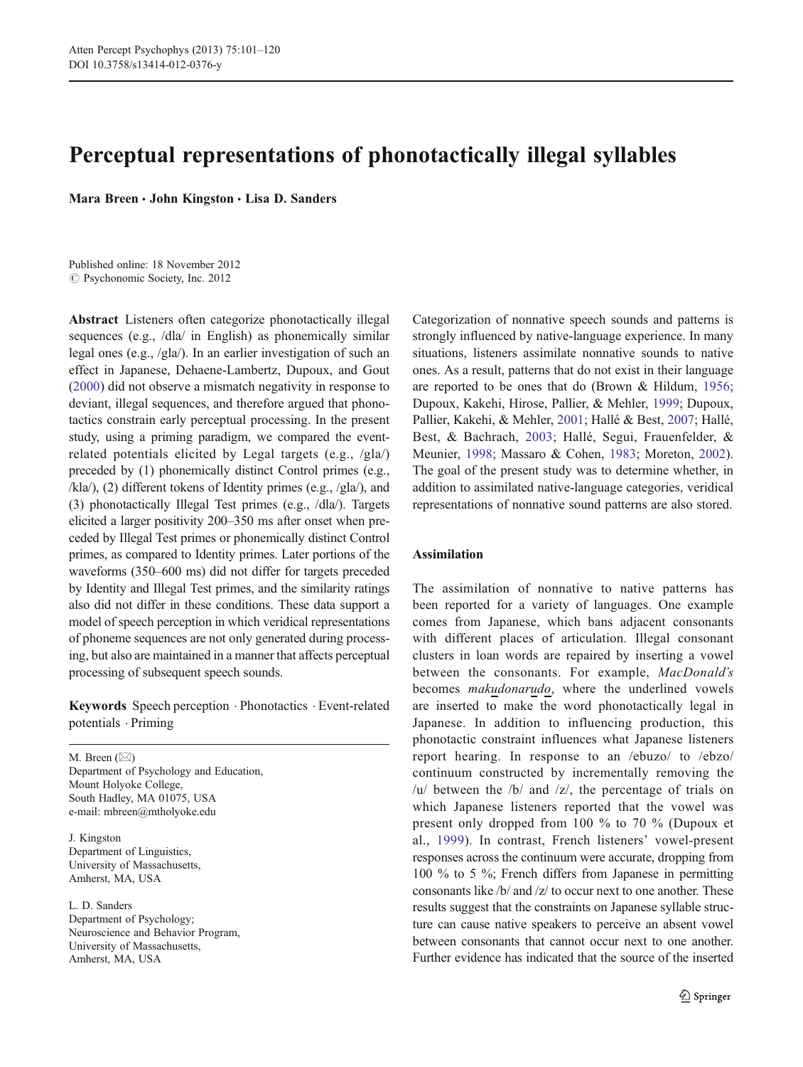# Perceptual representations of phonotactically illegal syllables

Mara Breen · John Kingston · Lisa D. Sanders

Published online: 18 November 2012  $\oslash$  Psychonomic Society, Inc. 2012

Abstract Listeners often categorize phonotactically illegal sequences (e.g., /dla/ in English) as phonemically similar legal ones (e.g., /gla/). In an earlier investigation of such an effect in Japanese, Dehaene-Lambertz, Dupoux, and Gout [\(2000](#page-18-0)) did not observe a mismatch negativity in response to deviant, illegal sequences, and therefore argued that phonotactics constrain early perceptual processing. In the present study, using a priming paradigm, we compared the eventrelated potentials elicited by Legal targets (e.g., /gla/) preceded by (1) phonemically distinct Control primes (e.g.,  $/kla$ , (2) different tokens of Identity primes (e.g.,  $/gla$ ), and (3) phonotactically Illegal Test primes (e.g., /dla/). Targets elicited a larger positivity 200–350 ms after onset when preceded by Illegal Test primes or phonemically distinct Control primes, as compared to Identity primes. Later portions of the waveforms (350–600 ms) did not differ for targets preceded by Identity and Illegal Test primes, and the similarity ratings also did not differ in these conditions. These data support a model of speech perception in which veridical representations of phoneme sequences are not only generated during processing, but also are maintained in a manner that affects perceptual processing of subsequent speech sounds.

Keywords Speech perception . Phonotactics . Event-related potentials . Priming

M. Breen  $(\boxtimes)$ Department of Psychology and Education, Mount Holyoke College, South Hadley, MA 01075, USA e-mail: mbreen@mtholyoke.edu

J. Kingston Department of Linguistics, University of Massachusetts, Amherst, MA, USA

L. D. Sanders Department of Psychology; Neuroscience and Behavior Program, University of Massachusetts, Amherst, MA, USA

Categorization of nonnative speech sounds and patterns is strongly influenced by native-language experience. In many situations, listeners assimilate nonnative sounds to native ones. As a result, patterns that do not exist in their language are reported to be ones that do (Brown & Hildum, [1956;](#page-18-0) Dupoux, Kakehi, Hirose, Pallier, & Mehler, [1999](#page-18-0); Dupoux, Pallier, Kakehi, & Mehler, [2001](#page-18-0); Hallé & Best, [2007](#page-18-0); Hallé, Best, & Bachrach, [2003](#page-18-0); Hallé, Segui, Frauenfelder, & Meunier, [1998](#page-18-0); Massaro & Cohen, [1983](#page-18-0); Moreton, [2002\)](#page-19-0). The goal of the present study was to determine whether, in addition to assimilated native-language categories, veridical representations of nonnative sound patterns are also stored.

# Assimilation

The assimilation of nonnative to native patterns has been reported for a variety of languages. One example comes from Japanese, which bans adjacent consonants with different places of articulation. Illegal consonant clusters in loan words are repaired by inserting a vowel between the consonants. For example, MacDonald's becomes makudonarudo, where the underlined vowels are inserted to make the word phonotactically legal in Japanese. In addition to influencing production, this phonotactic constraint influences what Japanese listeners report hearing. In response to an /ebuzo/ to /ebzo/ continuum constructed by incrementally removing the /u/ between the /b/ and /z/, the percentage of trials on which Japanese listeners reported that the vowel was present only dropped from 100 % to 70 % (Dupoux et al., [1999\)](#page-18-0). In contrast, French listeners' vowel-present responses across the continuum were accurate, dropping from 100 % to 5 %; French differs from Japanese in permitting consonants like /b/ and /z/ to occur next to one another. These results suggest that the constraints on Japanese syllable structure can cause native speakers to perceive an absent vowel between consonants that cannot occur next to one another. Further evidence has indicated that the source of the inserted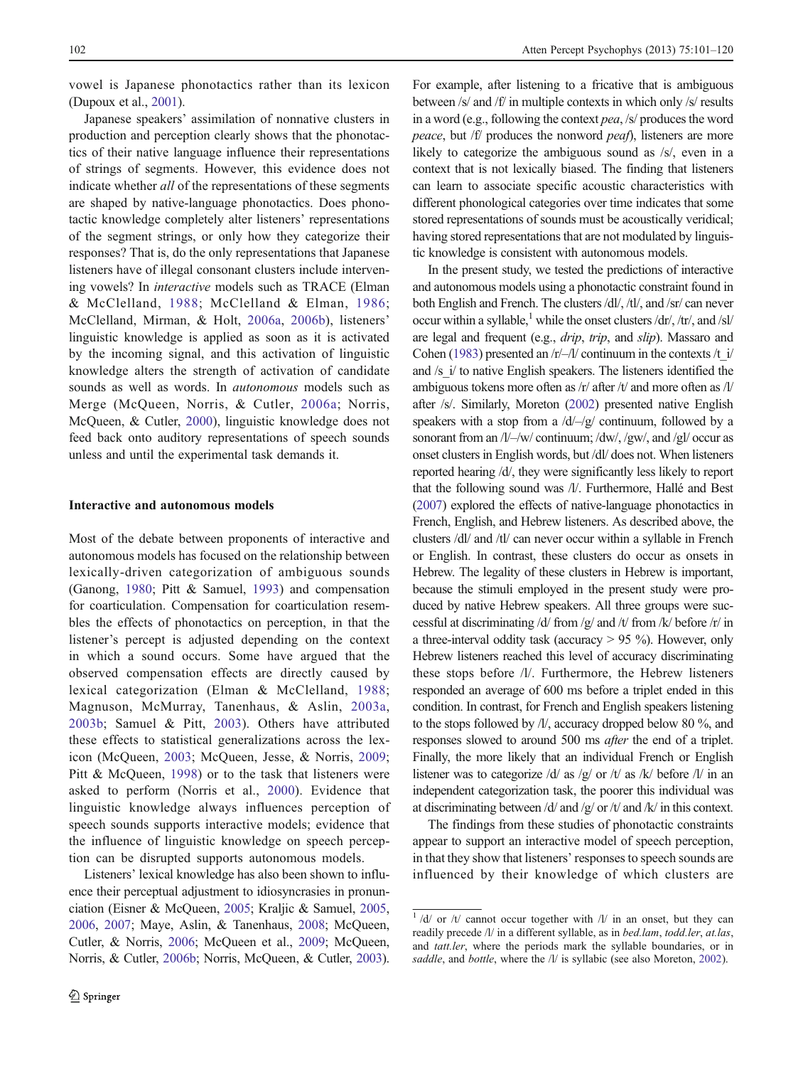vowel is Japanese phonotactics rather than its lexicon (Dupoux et al., [2001\)](#page-18-0).

Japanese speakers' assimilation of nonnative clusters in production and perception clearly shows that the phonotactics of their native language influence their representations of strings of segments. However, this evidence does not indicate whether *all* of the representations of these segments are shaped by native-language phonotactics. Does phonotactic knowledge completely alter listeners' representations of the segment strings, or only how they categorize their responses? That is, do the only representations that Japanese listeners have of illegal consonant clusters include intervening vowels? In interactive models such as TRACE (Elman & McClelland, [1988;](#page-18-0) McClelland & Elman, [1986](#page-18-0); McClelland, Mirman, & Holt, [2006a,](#page-18-0) [2006b](#page-19-0)), listeners' linguistic knowledge is applied as soon as it is activated by the incoming signal, and this activation of linguistic knowledge alters the strength of activation of candidate sounds as well as words. In autonomous models such as Merge (McQueen, Norris, & Cutler, [2006a](#page-19-0); Norris, McQueen, & Cutler, [2000\)](#page-19-0), linguistic knowledge does not feed back onto auditory representations of speech sounds unless and until the experimental task demands it.

#### Interactive and autonomous models

Most of the debate between proponents of interactive and autonomous models has focused on the relationship between lexically-driven categorization of ambiguous sounds (Ganong, [1980;](#page-18-0) Pitt & Samuel, [1993](#page-19-0)) and compensation for coarticulation. Compensation for coarticulation resembles the effects of phonotactics on perception, in that the listener's percept is adjusted depending on the context in which a sound occurs. Some have argued that the observed compensation effects are directly caused by lexical categorization (Elman & McClelland, [1988](#page-18-0); Magnuson, McMurray, Tanenhaus, & Aslin, [2003a,](#page-18-0) [2003b;](#page-18-0) Samuel & Pitt, [2003](#page-19-0)). Others have attributed these effects to statistical generalizations across the lexicon (McQueen, [2003](#page-19-0); McQueen, Jesse, & Norris, [2009](#page-19-0); Pitt & McQueen, [1998\)](#page-19-0) or to the task that listeners were asked to perform (Norris et al., [2000\)](#page-19-0). Evidence that linguistic knowledge always influences perception of speech sounds supports interactive models; evidence that the influence of linguistic knowledge on speech perception can be disrupted supports autonomous models.

Listeners' lexical knowledge has also been shown to influence their perceptual adjustment to idiosyncrasies in pronunciation (Eisner & McQueen, [2005;](#page-18-0) Kraljic & Samuel, [2005,](#page-18-0) [2006,](#page-18-0) [2007](#page-18-0); Maye, Aslin, & Tanenhaus, [2008](#page-18-0); McQueen, Cutler, & Norris, [2006;](#page-19-0) McQueen et al., [2009](#page-19-0); McQueen, Norris, & Cutler, [2006b](#page-19-0); Norris, McQueen, & Cutler, [2003\)](#page-19-0). For example, after listening to a fricative that is ambiguous between /s/ and /f/ in multiple contexts in which only /s/ results in a word (e.g., following the context pea, /s/ produces the word peace, but /f/ produces the nonword peaf), listeners are more likely to categorize the ambiguous sound as /s/, even in a context that is not lexically biased. The finding that listeners can learn to associate specific acoustic characteristics with different phonological categories over time indicates that some stored representations of sounds must be acoustically veridical; having stored representations that are not modulated by linguistic knowledge is consistent with autonomous models.

In the present study, we tested the predictions of interactive and autonomous models using a phonotactic constraint found in both English and French. The clusters /dl/, /tl/, and /sr/ can never occur within a syllable,<sup>1</sup> while the onset clusters  $\frac{d\mathbf{r}}{dt}$ ,  $\frac{d\mathbf{r}}{dt}$ , and  $\frac{1}{s}$ are legal and frequent (e.g., drip, trip, and slip). Massaro and Cohen [\(1983](#page-18-0)) presented an  $/r$ /-/l/ continuum in the contexts /t i/ and /s i/ to native English speakers. The listeners identified the ambiguous tokens more often as /r/ after /t/ and more often as /l/ after /s/. Similarly, Moreton [\(2002](#page-19-0)) presented native English speakers with a stop from a  $\frac{d}{q}$  continuum, followed by a sonorant from an  $\frac{1}{-}w$  continuum;  $\frac{dw}{y}$ ,  $\frac{dw}{y}$ , and  $\frac{dy}{dx}$  occur as onset clusters in English words, but /dl/ does not. When listeners reported hearing /d/, they were significantly less likely to report that the following sound was /l/. Furthermore, Hallé and Best [\(2007](#page-18-0)) explored the effects of native-language phonotactics in French, English, and Hebrew listeners. As described above, the clusters /dl/ and /tl/ can never occur within a syllable in French or English. In contrast, these clusters do occur as onsets in Hebrew. The legality of these clusters in Hebrew is important, because the stimuli employed in the present study were produced by native Hebrew speakers. All three groups were successful at discriminating /d/ from /g/ and /t/ from /k/ before /r/ in a three-interval oddity task (accuracy > 95 %). However, only Hebrew listeners reached this level of accuracy discriminating these stops before /l/. Furthermore, the Hebrew listeners responded an average of 600 ms before a triplet ended in this condition. In contrast, for French and English speakers listening to the stops followed by /l/, accuracy dropped below 80 %, and responses slowed to around 500 ms after the end of a triplet. Finally, the more likely that an individual French or English listener was to categorize  $\frac{d}{dx}$  as  $\frac{g}{g}$  or  $\frac{h}{dx}$  as  $\frac{g}{dx}$  before  $\frac{h}{dx}$  in an independent categorization task, the poorer this individual was at discriminating between  $\frac{d}{dx}$  and  $\frac{g}{dx}$  or  $\frac{t}{dx}$  and  $\frac{f}{dx}$  in this context.

The findings from these studies of phonotactic constraints appear to support an interactive model of speech perception, in that they show that listeners' responses to speech sounds are influenced by their knowledge of which clusters are

 $1/d$  or /t/ cannot occur together with  $1/$  in an onset, but they can readily precede /l/ in a different syllable, as in bed.lam, todd.ler, at.las, and tatt.ler, where the periods mark the syllable boundaries, or in saddle, and bottle, where the /l/ is syllabic (see also Moreton, [2002\)](#page-19-0).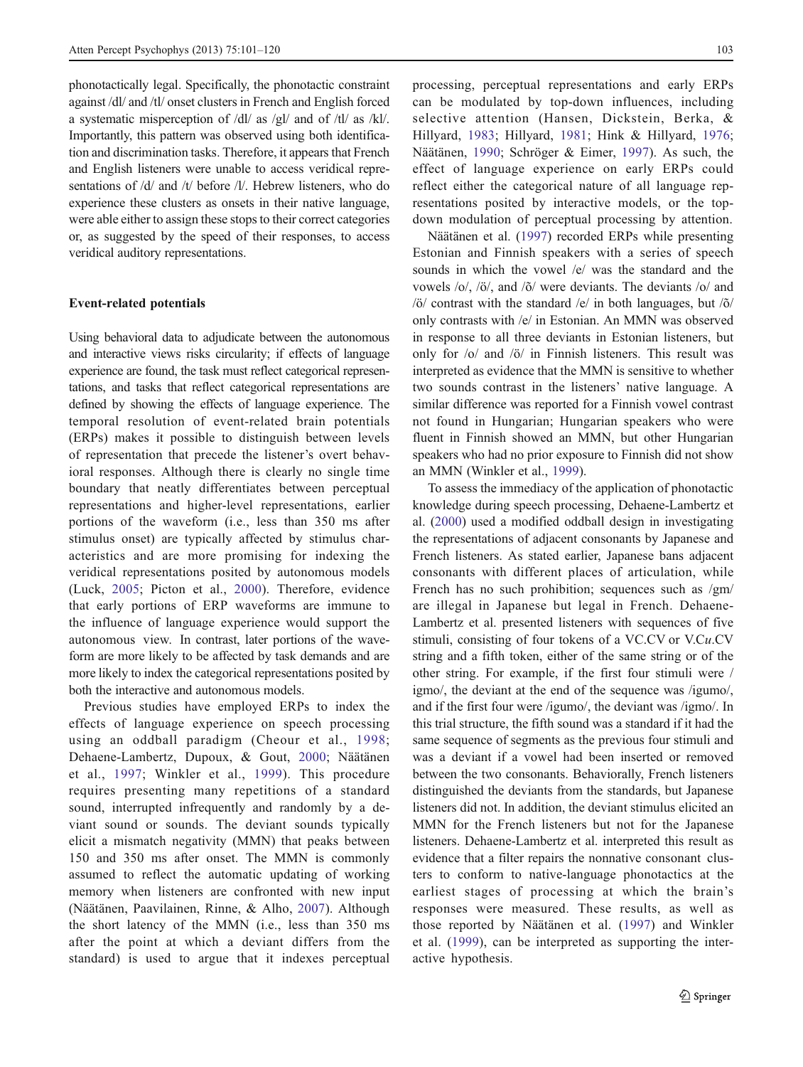phonotactically legal. Specifically, the phonotactic constraint against /dl/ and /tl/ onset clusters in French and English forced a systematic misperception of /dl/ as /gl/ and of /tl/ as /kl/. Importantly, this pattern was observed using both identification and discrimination tasks. Therefore, it appears that French and English listeners were unable to access veridical representations of /d/ and /t/ before /l/. Hebrew listeners, who do experience these clusters as onsets in their native language, were able either to assign these stops to their correct categories or, as suggested by the speed of their responses, to access veridical auditory representations.

## Event-related potentials

Using behavioral data to adjudicate between the autonomous and interactive views risks circularity; if effects of language experience are found, the task must reflect categorical representations, and tasks that reflect categorical representations are defined by showing the effects of language experience. The temporal resolution of event-related brain potentials (ERPs) makes it possible to distinguish between levels of representation that precede the listener's overt behavioral responses. Although there is clearly no single time boundary that neatly differentiates between perceptual representations and higher-level representations, earlier portions of the waveform (i.e., less than 350 ms after stimulus onset) are typically affected by stimulus characteristics and are more promising for indexing the veridical representations posited by autonomous models (Luck, [2005;](#page-18-0) Picton et al., [2000](#page-19-0)). Therefore, evidence that early portions of ERP waveforms are immune to the influence of language experience would support the autonomous view. In contrast, later portions of the waveform are more likely to be affected by task demands and are more likely to index the categorical representations posited by both the interactive and autonomous models.

Previous studies have employed ERPs to index the effects of language experience on speech processing using an oddball paradigm (Cheour et al., [1998](#page-18-0); Dehaene-Lambertz, Dupoux, & Gout, [2000](#page-18-0); Näätänen et al., [1997;](#page-19-0) Winkler et al., [1999\)](#page-19-0). This procedure requires presenting many repetitions of a standard sound, interrupted infrequently and randomly by a deviant sound or sounds. The deviant sounds typically elicit a mismatch negativity (MMN) that peaks between 150 and 350 ms after onset. The MMN is commonly assumed to reflect the automatic updating of working memory when listeners are confronted with new input (Näätänen, Paavilainen, Rinne, & Alho, [2007](#page-19-0)). Although the short latency of the MMN (i.e., less than 350 ms after the point at which a deviant differs from the standard) is used to argue that it indexes perceptual processing, perceptual representations and early ERPs can be modulated by top-down influences, including selective attention (Hansen, Dickstein, Berka, & Hillyard, [1983](#page-18-0); Hillyard, [1981;](#page-18-0) Hink & Hillyard, [1976;](#page-18-0) Näätänen, [1990](#page-19-0); Schröger & Eimer, [1997\)](#page-19-0). As such, the effect of language experience on early ERPs could reflect either the categorical nature of all language representations posited by interactive models, or the topdown modulation of perceptual processing by attention.

Näätänen et al. [\(1997](#page-19-0)) recorded ERPs while presenting Estonian and Finnish speakers with a series of speech sounds in which the vowel /e/ was the standard and the vowels /o/, /ö/, and /õ/ were deviants. The deviants /o/ and  $\frac{1}{\tilde{O}}$  contrast with the standard  $\frac{1}{\tilde{O}}$  in both languages, but  $\frac{1}{\tilde{O}}$ only contrasts with /e/ in Estonian. An MMN was observed in response to all three deviants in Estonian listeners, but only for /o/ and /ö/ in Finnish listeners. This result was interpreted as evidence that the MMN is sensitive to whether two sounds contrast in the listeners' native language. A similar difference was reported for a Finnish vowel contrast not found in Hungarian; Hungarian speakers who were fluent in Finnish showed an MMN, but other Hungarian speakers who had no prior exposure to Finnish did not show an MMN (Winkler et al., [1999\)](#page-19-0).

To assess the immediacy of the application of phonotactic knowledge during speech processing, Dehaene-Lambertz et al. ([2000\)](#page-18-0) used a modified oddball design in investigating the representations of adjacent consonants by Japanese and French listeners. As stated earlier, Japanese bans adjacent consonants with different places of articulation, while French has no such prohibition; sequences such as /gm/ are illegal in Japanese but legal in French. Dehaene-Lambertz et al. presented listeners with sequences of five stimuli, consisting of four tokens of a VC.CV or V.Cu.CV string and a fifth token, either of the same string or of the other string. For example, if the first four stimuli were / igmo/, the deviant at the end of the sequence was /igumo/, and if the first four were /igumo/, the deviant was /igmo/. In this trial structure, the fifth sound was a standard if it had the same sequence of segments as the previous four stimuli and was a deviant if a vowel had been inserted or removed between the two consonants. Behaviorally, French listeners distinguished the deviants from the standards, but Japanese listeners did not. In addition, the deviant stimulus elicited an MMN for the French listeners but not for the Japanese listeners. Dehaene-Lambertz et al. interpreted this result as evidence that a filter repairs the nonnative consonant clusters to conform to native-language phonotactics at the earliest stages of processing at which the brain's responses were measured. These results, as well as those reported by Näätänen et al. [\(1997\)](#page-19-0) and Winkler et al. ([1999](#page-19-0)), can be interpreted as supporting the interactive hypothesis.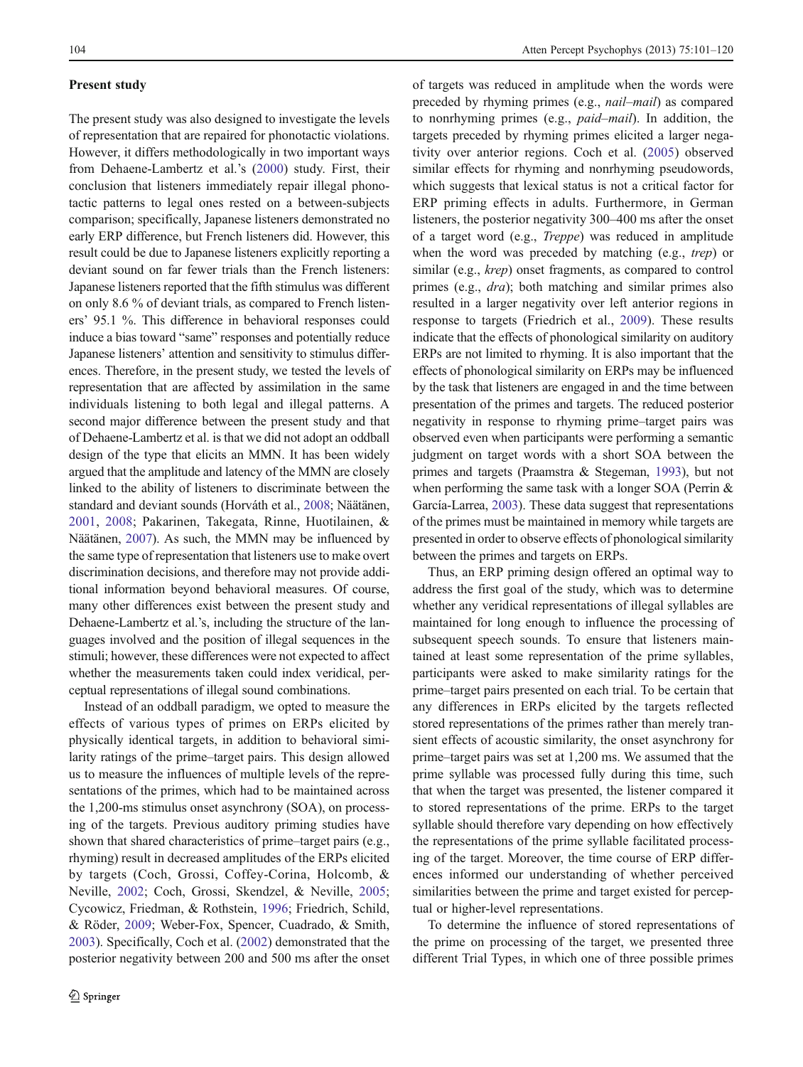### Present study

The present study was also designed to investigate the levels of representation that are repaired for phonotactic violations. However, it differs methodologically in two important ways from Dehaene-Lambertz et al.'s [\(2000](#page-18-0)) study. First, their conclusion that listeners immediately repair illegal phonotactic patterns to legal ones rested on a between-subjects comparison; specifically, Japanese listeners demonstrated no early ERP difference, but French listeners did. However, this result could be due to Japanese listeners explicitly reporting a deviant sound on far fewer trials than the French listeners: Japanese listeners reported that the fifth stimulus was different on only 8.6 % of deviant trials, as compared to French listeners' 95.1 %. This difference in behavioral responses could induce a bias toward "same" responses and potentially reduce Japanese listeners' attention and sensitivity to stimulus differences. Therefore, in the present study, we tested the levels of representation that are affected by assimilation in the same individuals listening to both legal and illegal patterns. A second major difference between the present study and that of Dehaene-Lambertz et al. is that we did not adopt an oddball design of the type that elicits an MMN. It has been widely argued that the amplitude and latency of the MMN are closely linked to the ability of listeners to discriminate between the standard and deviant sounds (Horváth et al., [2008;](#page-18-0) Näätänen, [2001](#page-19-0), [2008;](#page-19-0) Pakarinen, Takegata, Rinne, Huotilainen, & Näätänen, [2007\)](#page-19-0). As such, the MMN may be influenced by the same type of representation that listeners use to make overt discrimination decisions, and therefore may not provide additional information beyond behavioral measures. Of course, many other differences exist between the present study and Dehaene-Lambertz et al.'s, including the structure of the languages involved and the position of illegal sequences in the stimuli; however, these differences were not expected to affect whether the measurements taken could index veridical, perceptual representations of illegal sound combinations.

Instead of an oddball paradigm, we opted to measure the effects of various types of primes on ERPs elicited by physically identical targets, in addition to behavioral similarity ratings of the prime–target pairs. This design allowed us to measure the influences of multiple levels of the representations of the primes, which had to be maintained across the 1,200-ms stimulus onset asynchrony (SOA), on processing of the targets. Previous auditory priming studies have shown that shared characteristics of prime–target pairs (e.g., rhyming) result in decreased amplitudes of the ERPs elicited by targets (Coch, Grossi, Coffey-Corina, Holcomb, & Neville, [2002;](#page-18-0) Coch, Grossi, Skendzel, & Neville, [2005](#page-18-0); Cycowicz, Friedman, & Rothstein, [1996;](#page-18-0) Friedrich, Schild, & Röder, [2009](#page-18-0); Weber-Fox, Spencer, Cuadrado, & Smith, [2003\)](#page-19-0). Specifically, Coch et al. ([2002\)](#page-18-0) demonstrated that the posterior negativity between 200 and 500 ms after the onset of targets was reduced in amplitude when the words were preceded by rhyming primes (e.g., nail–mail) as compared to nonrhyming primes (e.g., paid–mail). In addition, the targets preceded by rhyming primes elicited a larger negativity over anterior regions. Coch et al. [\(2005](#page-18-0)) observed similar effects for rhyming and nonrhyming pseudowords, which suggests that lexical status is not a critical factor for ERP priming effects in adults. Furthermore, in German listeners, the posterior negativity 300–400 ms after the onset of a target word (e.g., Treppe) was reduced in amplitude when the word was preceded by matching (e.g., trep) or similar (e.g., krep) onset fragments, as compared to control primes (e.g., dra); both matching and similar primes also resulted in a larger negativity over left anterior regions in response to targets (Friedrich et al., [2009](#page-18-0)). These results indicate that the effects of phonological similarity on auditory ERPs are not limited to rhyming. It is also important that the effects of phonological similarity on ERPs may be influenced by the task that listeners are engaged in and the time between presentation of the primes and targets. The reduced posterior negativity in response to rhyming prime–target pairs was observed even when participants were performing a semantic judgment on target words with a short SOA between the primes and targets (Praamstra & Stegeman, [1993\)](#page-19-0), but not when performing the same task with a longer SOA (Perrin & García-Larrea, [2003](#page-19-0)). These data suggest that representations of the primes must be maintained in memory while targets are presented in order to observe effects of phonological similarity between the primes and targets on ERPs.

Thus, an ERP priming design offered an optimal way to address the first goal of the study, which was to determine whether any veridical representations of illegal syllables are maintained for long enough to influence the processing of subsequent speech sounds. To ensure that listeners maintained at least some representation of the prime syllables, participants were asked to make similarity ratings for the prime–target pairs presented on each trial. To be certain that any differences in ERPs elicited by the targets reflected stored representations of the primes rather than merely transient effects of acoustic similarity, the onset asynchrony for prime–target pairs was set at 1,200 ms. We assumed that the prime syllable was processed fully during this time, such that when the target was presented, the listener compared it to stored representations of the prime. ERPs to the target syllable should therefore vary depending on how effectively the representations of the prime syllable facilitated processing of the target. Moreover, the time course of ERP differences informed our understanding of whether perceived similarities between the prime and target existed for perceptual or higher-level representations.

To determine the influence of stored representations of the prime on processing of the target, we presented three different Trial Types, in which one of three possible primes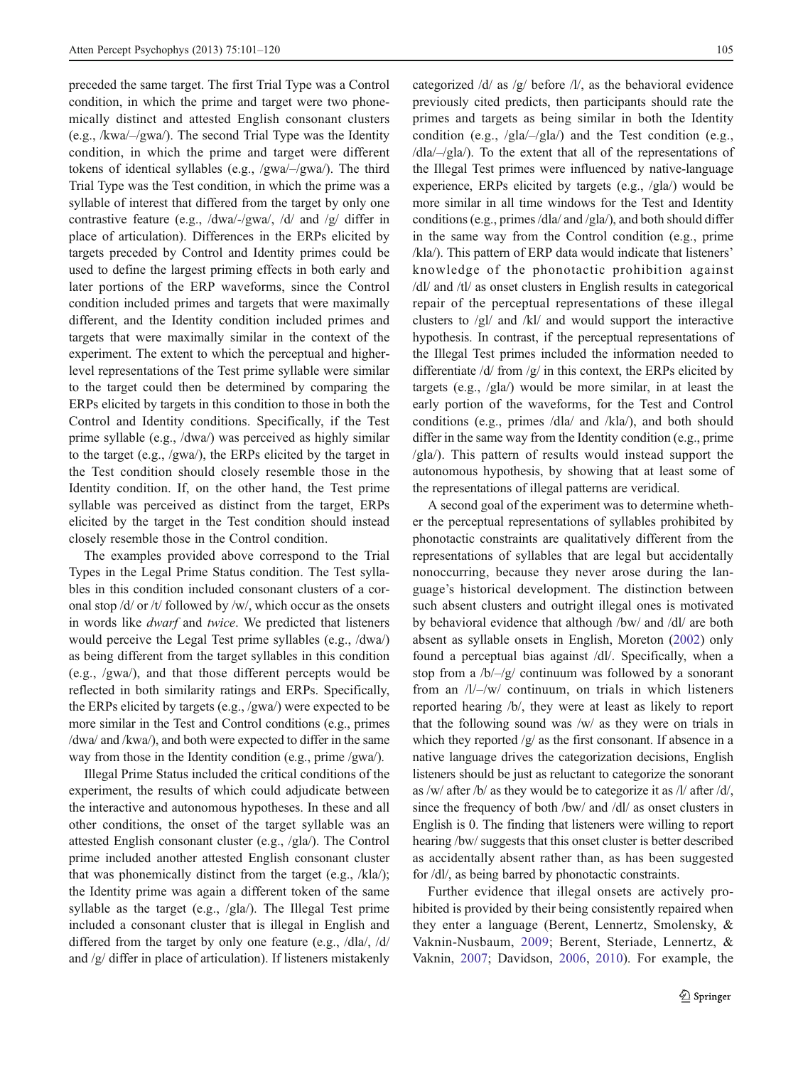preceded the same target. The first Trial Type was a Control condition, in which the prime and target were two phonemically distinct and attested English consonant clusters (e.g., /kwa/–/gwa/). The second Trial Type was the Identity condition, in which the prime and target were different tokens of identical syllables (e.g., /gwa/–/gwa/). The third Trial Type was the Test condition, in which the prime was a syllable of interest that differed from the target by only one contrastive feature (e.g., /dwa/-/gwa/, /d/ and /g/ differ in place of articulation). Differences in the ERPs elicited by targets preceded by Control and Identity primes could be used to define the largest priming effects in both early and later portions of the ERP waveforms, since the Control condition included primes and targets that were maximally different, and the Identity condition included primes and targets that were maximally similar in the context of the experiment. The extent to which the perceptual and higherlevel representations of the Test prime syllable were similar to the target could then be determined by comparing the ERPs elicited by targets in this condition to those in both the Control and Identity conditions. Specifically, if the Test prime syllable (e.g., /dwa/) was perceived as highly similar to the target (e.g., /gwa/), the ERPs elicited by the target in the Test condition should closely resemble those in the Identity condition. If, on the other hand, the Test prime syllable was perceived as distinct from the target, ERPs elicited by the target in the Test condition should instead closely resemble those in the Control condition.

The examples provided above correspond to the Trial Types in the Legal Prime Status condition. The Test syllables in this condition included consonant clusters of a coronal stop /d/ or /t/ followed by /w/, which occur as the onsets in words like dwarf and twice. We predicted that listeners would perceive the Legal Test prime syllables (e.g., /dwa/) as being different from the target syllables in this condition (e.g., /gwa/), and that those different percepts would be reflected in both similarity ratings and ERPs. Specifically, the ERPs elicited by targets (e.g., /gwa/) were expected to be more similar in the Test and Control conditions (e.g., primes /dwa/ and /kwa/), and both were expected to differ in the same way from those in the Identity condition (e.g., prime /gwa/).

Illegal Prime Status included the critical conditions of the experiment, the results of which could adjudicate between the interactive and autonomous hypotheses. In these and all other conditions, the onset of the target syllable was an attested English consonant cluster (e.g., /gla/). The Control prime included another attested English consonant cluster that was phonemically distinct from the target (e.g., /kla/); the Identity prime was again a different token of the same syllable as the target (e.g., /gla/). The Illegal Test prime included a consonant cluster that is illegal in English and differed from the target by only one feature (e.g., /dla/, /d/ and  $/g/d$  differ in place of articulation). If listeners mistakenly categorized /d/ as /g/ before /l/, as the behavioral evidence previously cited predicts, then participants should rate the primes and targets as being similar in both the Identity condition (e.g., /gla/–/gla/) and the Test condition (e.g.,  $/dla$ –/gla). To the extent that all of the representations of the Illegal Test primes were influenced by native-language experience, ERPs elicited by targets (e.g., /gla/) would be more similar in all time windows for the Test and Identity conditions (e.g., primes /dla/ and /gla/), and both should differ in the same way from the Control condition (e.g., prime /kla/). This pattern of ERP data would indicate that listeners' knowledge of the phonotactic prohibition against /dl/ and /tl/ as onset clusters in English results in categorical repair of the perceptual representations of these illegal clusters to /gl/ and /kl/ and would support the interactive hypothesis. In contrast, if the perceptual representations of the Illegal Test primes included the information needed to differentiate  $\frac{d}{d}$  from  $\frac{g}{i}$  in this context, the ERPs elicited by targets (e.g., /gla/) would be more similar, in at least the early portion of the waveforms, for the Test and Control conditions (e.g., primes /dla/ and /kla/), and both should differ in the same way from the Identity condition (e.g., prime /gla/). This pattern of results would instead support the autonomous hypothesis, by showing that at least some of the representations of illegal patterns are veridical.

A second goal of the experiment was to determine whether the perceptual representations of syllables prohibited by phonotactic constraints are qualitatively different from the representations of syllables that are legal but accidentally nonoccurring, because they never arose during the language's historical development. The distinction between such absent clusters and outright illegal ones is motivated by behavioral evidence that although /bw/ and /dl/ are both absent as syllable onsets in English, Moreton ([2002\)](#page-19-0) only found a perceptual bias against /dl/. Specifically, when a stop from a /b/–/g/ continuum was followed by a sonorant from an /l/–/w/ continuum, on trials in which listeners reported hearing /b/, they were at least as likely to report that the following sound was /w/ as they were on trials in which they reported /g/ as the first consonant. If absence in a native language drives the categorization decisions, English listeners should be just as reluctant to categorize the sonorant as /w/ after /b/ as they would be to categorize it as /l/ after /d/, since the frequency of both /bw/ and /dl/ as onset clusters in English is 0. The finding that listeners were willing to report hearing /bw/ suggests that this onset cluster is better described as accidentally absent rather than, as has been suggested for /dl/, as being barred by phonotactic constraints.

Further evidence that illegal onsets are actively prohibited is provided by their being consistently repaired when they enter a language (Berent, Lennertz, Smolensky, & Vaknin-Nusbaum, [2009](#page-17-0); Berent, Steriade, Lennertz, & Vaknin, [2007;](#page-17-0) Davidson, [2006](#page-18-0), [2010](#page-18-0)). For example, the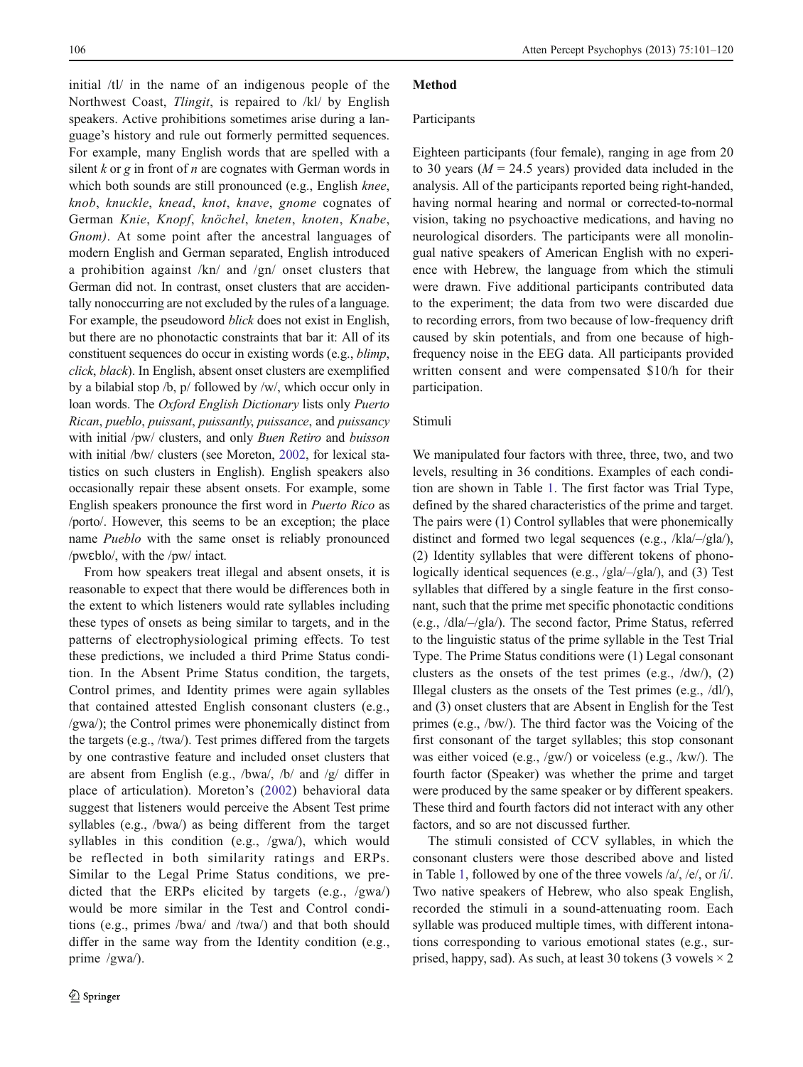initial /tl/ in the name of an indigenous people of the Northwest Coast, *Tlingit*, is repaired to /kl/ by English speakers. Active prohibitions sometimes arise during a language's history and rule out formerly permitted sequences. For example, many English words that are spelled with a silent  $k$  or  $g$  in front of  $n$  are cognates with German words in which both sounds are still pronounced (e.g., English knee, knob, knuckle, knead, knot, knave, gnome cognates of German Knie, Knopf, knöchel, kneten, knoten, Knabe, Gnom). At some point after the ancestral languages of modern English and German separated, English introduced a prohibition against /kn/ and /gn/ onset clusters that German did not. In contrast, onset clusters that are accidentally nonoccurring are not excluded by the rules of a language. For example, the pseudoword blick does not exist in English, but there are no phonotactic constraints that bar it: All of its constituent sequences do occur in existing words (e.g., blimp, click, black). In English, absent onset clusters are exemplified by a bilabial stop /b, p/ followed by /w/, which occur only in loan words. The Oxford English Dictionary lists only Puerto Rican, pueblo, puissant, puissantly, puissance, and puissancy with initial /pw/ clusters, and only *Buen Retiro* and *buisson* with initial /bw/ clusters (see Moreton, [2002,](#page-19-0) for lexical statistics on such clusters in English). English speakers also occasionally repair these absent onsets. For example, some English speakers pronounce the first word in Puerto Rico as /porto/. However, this seems to be an exception; the place name Pueblo with the same onset is reliably pronounced /pwɛblo/, with the /pw/ intact.

From how speakers treat illegal and absent onsets, it is reasonable to expect that there would be differences both in the extent to which listeners would rate syllables including these types of onsets as being similar to targets, and in the patterns of electrophysiological priming effects. To test these predictions, we included a third Prime Status condition. In the Absent Prime Status condition, the targets, Control primes, and Identity primes were again syllables that contained attested English consonant clusters (e.g., /gwa/); the Control primes were phonemically distinct from the targets (e.g., /twa/). Test primes differed from the targets by one contrastive feature and included onset clusters that are absent from English (e.g., /bwa/, /b/ and /g/ differ in place of articulation). Moreton's [\(2002\)](#page-19-0) behavioral data suggest that listeners would perceive the Absent Test prime syllables (e.g., /bwa/) as being different from the target syllables in this condition (e.g., /gwa/), which would be reflected in both similarity ratings and ERPs. Similar to the Legal Prime Status conditions, we predicted that the ERPs elicited by targets (e.g., /gwa/) would be more similar in the Test and Control conditions (e.g., primes /bwa/ and /twa/) and that both should differ in the same way from the Identity condition (e.g., prime /gwa/).

#### Method

#### Participants

Eighteen participants (four female), ranging in age from 20 to 30 years ( $M = 24.5$  years) provided data included in the analysis. All of the participants reported being right-handed, having normal hearing and normal or corrected-to-normal vision, taking no psychoactive medications, and having no neurological disorders. The participants were all monolingual native speakers of American English with no experience with Hebrew, the language from which the stimuli were drawn. Five additional participants contributed data to the experiment; the data from two were discarded due to recording errors, from two because of low-frequency drift caused by skin potentials, and from one because of highfrequency noise in the EEG data. All participants provided written consent and were compensated \$10/h for their participation.

# Stimuli

We manipulated four factors with three, three, two, and two levels, resulting in 36 conditions. Examples of each condition are shown in Table [1](#page-6-0). The first factor was Trial Type, defined by the shared characteristics of the prime and target. The pairs were (1) Control syllables that were phonemically distinct and formed two legal sequences (e.g., /kla/-/gla/), (2) Identity syllables that were different tokens of phonologically identical sequences (e.g., /gla/-/gla/), and (3) Test syllables that differed by a single feature in the first consonant, such that the prime met specific phonotactic conditions (e.g., /dla/–/gla/). The second factor, Prime Status, referred to the linguistic status of the prime syllable in the Test Trial Type. The Prime Status conditions were (1) Legal consonant clusters as the onsets of the test primes (e.g.,  $/dw/$ ), (2) Illegal clusters as the onsets of the Test primes (e.g., /dl/), and (3) onset clusters that are Absent in English for the Test primes (e.g., /bw/). The third factor was the Voicing of the first consonant of the target syllables; this stop consonant was either voiced (e.g., /gw/) or voiceless (e.g., /kw/). The fourth factor (Speaker) was whether the prime and target were produced by the same speaker or by different speakers. These third and fourth factors did not interact with any other factors, and so are not discussed further.

The stimuli consisted of CCV syllables, in which the consonant clusters were those described above and listed in Table [1](#page-6-0), followed by one of the three vowels /a/, /e/, or /i/. Two native speakers of Hebrew, who also speak English, recorded the stimuli in a sound-attenuating room. Each syllable was produced multiple times, with different intonations corresponding to various emotional states (e.g., surprised, happy, sad). As such, at least 30 tokens (3 vowels  $\times$  2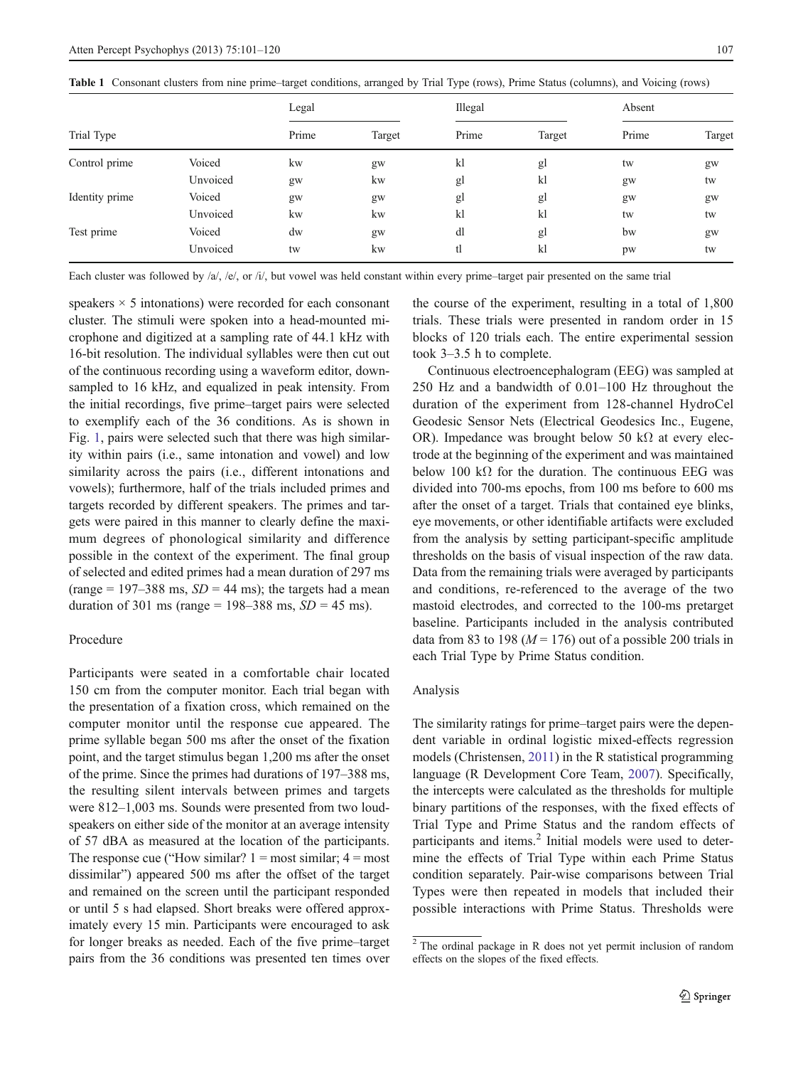|                |          | Legal |        | Illegal |        | Absent |        |
|----------------|----------|-------|--------|---------|--------|--------|--------|
| Trial Type     |          | Prime | Target | Prime   | Target | Prime  | Target |
| Control prime  | Voiced   | kw    | gw     | kl      | gl     | tw     | gw     |
|                | Unvoiced | gw    | kw     | gl      | kl     | gw     | tw     |
| Identity prime | Voiced   | gw    | gw     | gl      | gl     | gw     | gw     |
|                | Unvoiced | kw    | kw     | kl      | kl     | tw     | tw     |
| Test prime     | Voiced   | dw    | gw     | dl      | gl     | bw     | gw     |

Unvoiced tw kw tl kl pw tw

<span id="page-6-0"></span>Table 1 Consonant clusters from nine prime–target conditions, arranged by Trial Type (rows), Prime Status (columns), and Voicing (rows)

Each cluster was followed by /a/, /e/, or /i/, but vowel was held constant within every prime-target pair presented on the same trial

speakers  $\times$  5 intonations) were recorded for each consonant cluster. The stimuli were spoken into a head-mounted microphone and digitized at a sampling rate of 44.1 kHz with 16-bit resolution. The individual syllables were then cut out of the continuous recording using a waveform editor, downsampled to 16 kHz, and equalized in peak intensity. From the initial recordings, five prime–target pairs were selected to exemplify each of the 36 conditions. As is shown in Fig. [1,](#page-7-0) pairs were selected such that there was high similarity within pairs (i.e., same intonation and vowel) and low similarity across the pairs (i.e., different intonations and vowels); furthermore, half of the trials included primes and targets recorded by different speakers. The primes and targets were paired in this manner to clearly define the maximum degrees of phonological similarity and difference possible in the context of the experiment. The final group of selected and edited primes had a mean duration of 297 ms (range = 197–388 ms,  $SD = 44$  ms); the targets had a mean duration of 301 ms (range =  $198-388$  ms,  $SD = 45$  ms).

# Procedure

Participants were seated in a comfortable chair located 150 cm from the computer monitor. Each trial began with the presentation of a fixation cross, which remained on the computer monitor until the response cue appeared. The prime syllable began 500 ms after the onset of the fixation point, and the target stimulus began 1,200 ms after the onset of the prime. Since the primes had durations of 197–388 ms, the resulting silent intervals between primes and targets were 812–1,003 ms. Sounds were presented from two loudspeakers on either side of the monitor at an average intensity of 57 dBA as measured at the location of the participants. The response cue ("How similar?  $1 = \text{most similar}$ ;  $4 = \text{most}$ dissimilar") appeared 500 ms after the offset of the target and remained on the screen until the participant responded or until 5 s had elapsed. Short breaks were offered approximately every 15 min. Participants were encouraged to ask for longer breaks as needed. Each of the five prime–target pairs from the 36 conditions was presented ten times over the course of the experiment, resulting in a total of 1,800 trials. These trials were presented in random order in 15 blocks of 120 trials each. The entire experimental session took 3–3.5 h to complete.

Continuous electroencephalogram (EEG) was sampled at 250 Hz and a bandwidth of 0.01–100 Hz throughout the duration of the experiment from 128-channel HydroCel Geodesic Sensor Nets (Electrical Geodesics Inc., Eugene, OR). Impedance was brought below 50 k $\Omega$  at every electrode at the beginning of the experiment and was maintained below 100 k $\Omega$  for the duration. The continuous EEG was divided into 700-ms epochs, from 100 ms before to 600 ms after the onset of a target. Trials that contained eye blinks, eye movements, or other identifiable artifacts were excluded from the analysis by setting participant-specific amplitude thresholds on the basis of visual inspection of the raw data. Data from the remaining trials were averaged by participants and conditions, re-referenced to the average of the two mastoid electrodes, and corrected to the 100-ms pretarget baseline. Participants included in the analysis contributed data from 83 to 198 ( $M = 176$ ) out of a possible 200 trials in each Trial Type by Prime Status condition.

## Analysis

The similarity ratings for prime–target pairs were the dependent variable in ordinal logistic mixed-effects regression models (Christensen, [2011\)](#page-18-0) in the R statistical programming language (R Development Core Team, [2007](#page-19-0)). Specifically, the intercepts were calculated as the thresholds for multiple binary partitions of the responses, with the fixed effects of Trial Type and Prime Status and the random effects of participants and items.<sup>2</sup> Initial models were used to determine the effects of Trial Type within each Prime Status condition separately. Pair-wise comparisons between Trial Types were then repeated in models that included their possible interactions with Prime Status. Thresholds were

<sup>2</sup> The ordinal package in R does not yet permit inclusion of random effects on the slopes of the fixed effects.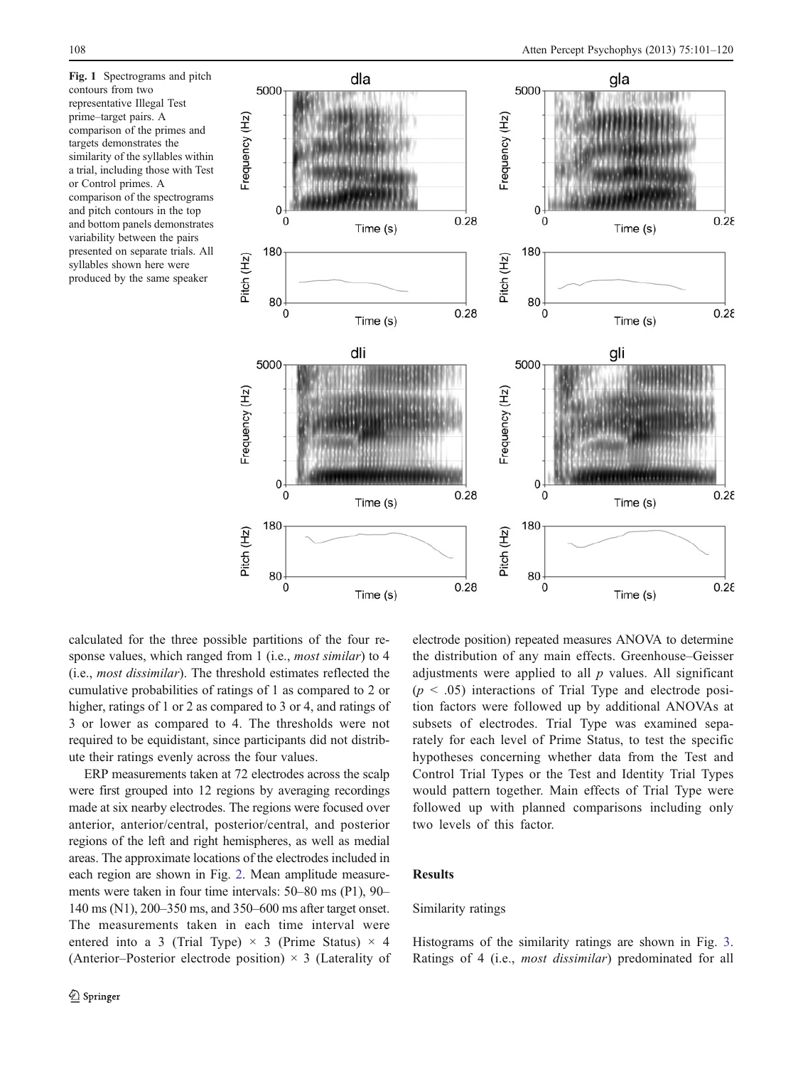<span id="page-7-0"></span>Fig. 1 Spectrograms and pitch contours from two representative Illegal Test prime–target pairs. A comparison of the primes and targets demonstrates the similarity of the syllables within a trial, including those with Test or Control primes. A comparison of the spectrograms and pitch contours in the top and bottom panels demonstrates variability between the pairs presented on separate trials. All syllables shown here were produced by the same speaker



calculated for the three possible partitions of the four response values, which ranged from 1 (i.e., *most similar*) to 4 (i.e., most dissimilar). The threshold estimates reflected the cumulative probabilities of ratings of 1 as compared to 2 or higher, ratings of 1 or 2 as compared to 3 or 4, and ratings of 3 or lower as compared to 4. The thresholds were not required to be equidistant, since participants did not distribute their ratings evenly across the four values.

ERP measurements taken at 72 electrodes across the scalp were first grouped into 12 regions by averaging recordings made at six nearby electrodes. The regions were focused over anterior, anterior/central, posterior/central, and posterior regions of the left and right hemispheres, as well as medial areas. The approximate locations of the electrodes included in each region are shown in Fig. [2.](#page-8-0) Mean amplitude measurements were taken in four time intervals: 50–80 ms (P1), 90– 140 ms (N1), 200–350 ms, and 350–600 ms after target onset. The measurements taken in each time interval were entered into a 3 (Trial Type)  $\times$  3 (Prime Status)  $\times$  4 (Anterior–Posterior electrode position)  $\times$  3 (Laterality of electrode position) repeated measures ANOVA to determine the distribution of any main effects. Greenhouse–Geisser adjustments were applied to all  $p$  values. All significant  $(p < .05)$  interactions of Trial Type and electrode position factors were followed up by additional ANOVAs at subsets of electrodes. Trial Type was examined separately for each level of Prime Status, to test the specific hypotheses concerning whether data from the Test and Control Trial Types or the Test and Identity Trial Types would pattern together. Main effects of Trial Type were followed up with planned comparisons including only two levels of this factor.

# Results

# Similarity ratings

Histograms of the similarity ratings are shown in Fig. [3.](#page-8-0) Ratings of 4 (i.e., most dissimilar) predominated for all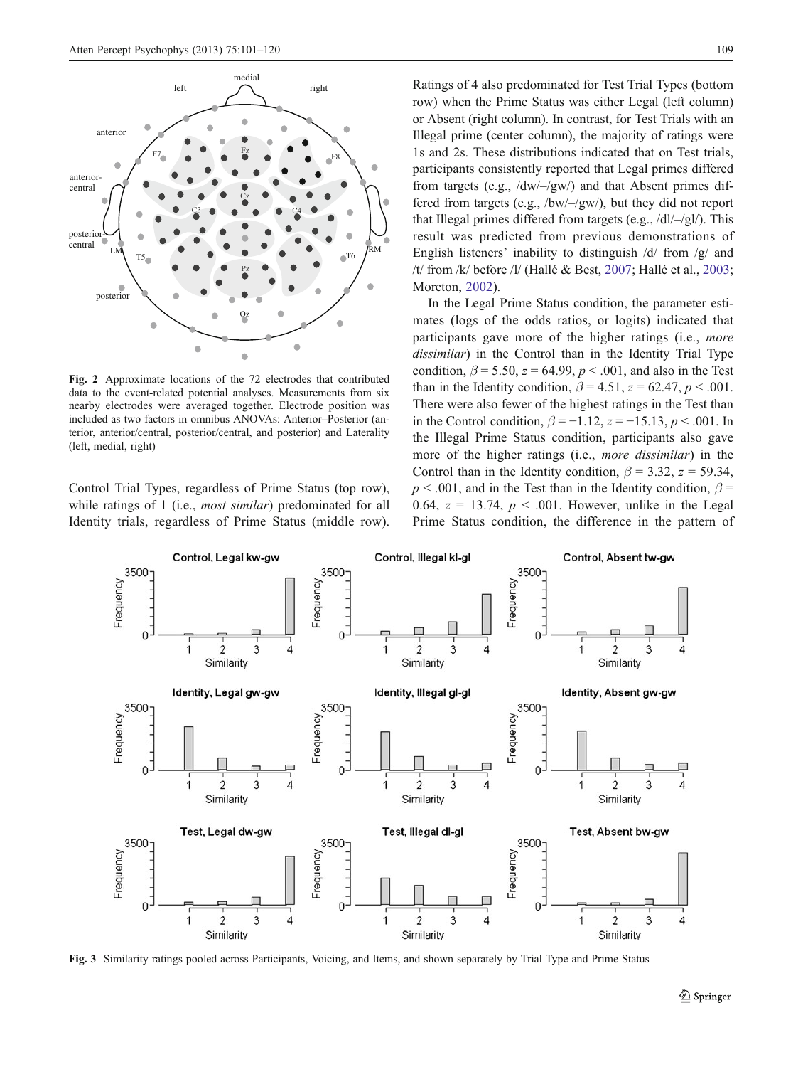<span id="page-8-0"></span>

Fig. 2 Approximate locations of the 72 electrodes that contributed data to the event-related potential analyses. Measurements from six nearby electrodes were averaged together. Electrode position was included as two factors in omnibus ANOVAs: Anterior–Posterior (anterior, anterior/central, posterior/central, and posterior) and Laterality (left, medial, right)

Control Trial Types, regardless of Prime Status (top row), while ratings of 1 (i.e., *most similar*) predominated for all Identity trials, regardless of Prime Status (middle row).

Ratings of 4 also predominated for Test Trial Types (bottom row) when the Prime Status was either Legal (left column) or Absent (right column). In contrast, for Test Trials with an Illegal prime (center column), the majority of ratings were 1s and 2s. These distributions indicated that on Test trials, participants consistently reported that Legal primes differed from targets (e.g., /dw/–/gw/) and that Absent primes differed from targets (e.g., /bw/–/gw/), but they did not report that Illegal primes differed from targets (e.g.,  $/dl$ –/gl/). This result was predicted from previous demonstrations of English listeners' inability to distinguish /d/ from /g/ and /t/ from /k/ before /l/ (Hallé & Best, [2007;](#page-18-0) Hallé et al., [2003;](#page-18-0) Moreton, [2002\)](#page-19-0).

In the Legal Prime Status condition, the parameter estimates (logs of the odds ratios, or logits) indicated that participants gave more of the higher ratings (i.e., more dissimilar) in the Control than in the Identity Trial Type condition,  $\beta = 5.50$ ,  $z = 64.99$ ,  $p < .001$ , and also in the Test than in the Identity condition,  $\beta = 4.51$ ,  $z = 62.47$ ,  $p < .001$ . There were also fewer of the highest ratings in the Test than in the Control condition,  $\beta = -1.12$ ,  $z = -15.13$ ,  $p < .001$ . In the Illegal Prime Status condition, participants also gave more of the higher ratings (i.e., *more dissimilar*) in the Control than in the Identity condition,  $\beta = 3.32$ ,  $z = 59.34$ ,  $p < .001$ , and in the Test than in the Identity condition,  $\beta =$ 0.64,  $z = 13.74$ ,  $p < .001$ . However, unlike in the Legal Prime Status condition, the difference in the pattern of



Fig. 3 Similarity ratings pooled across Participants, Voicing, and Items, and shown separately by Trial Type and Prime Status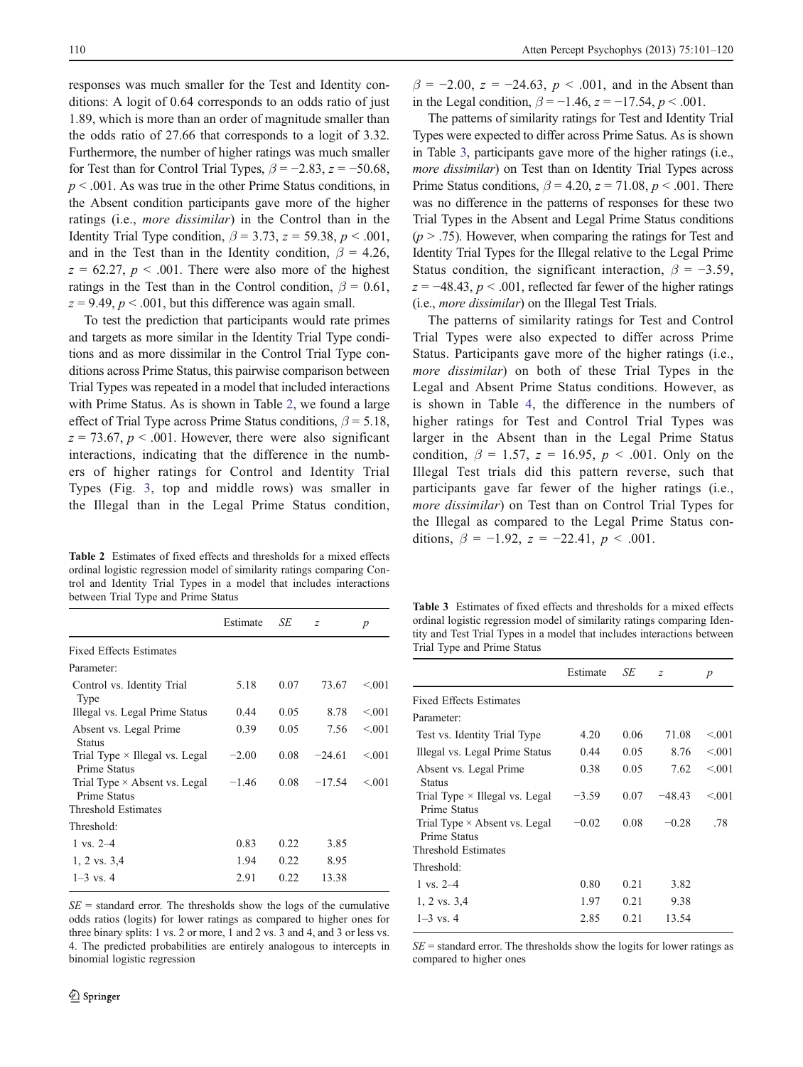responses was much smaller for the Test and Identity conditions: A logit of 0.64 corresponds to an odds ratio of just 1.89, which is more than an order of magnitude smaller than the odds ratio of 27.66 that corresponds to a logit of 3.32. Furthermore, the number of higher ratings was much smaller for Test than for Control Trial Types,  $\beta = -2.83$ ,  $z = -50.68$ ,  $p < .001$ . As was true in the other Prime Status conditions, in the Absent condition participants gave more of the higher ratings (i.e., more dissimilar) in the Control than in the Identity Trial Type condition,  $\beta = 3.73$ ,  $z = 59.38$ ,  $p < .001$ , and in the Test than in the Identity condition,  $\beta = 4.26$ ,  $z = 62.27$ ,  $p < .001$ . There were also more of the highest ratings in the Test than in the Control condition,  $\beta = 0.61$ ,  $z = 9.49$ ,  $p < .001$ , but this difference was again small.

To test the prediction that participants would rate primes and targets as more similar in the Identity Trial Type conditions and as more dissimilar in the Control Trial Type conditions across Prime Status, this pairwise comparison between Trial Types was repeated in a model that included interactions with Prime Status. As is shown in Table 2, we found a large effect of Trial Type across Prime Status conditions,  $\beta = 5.18$ ,  $z = 73.67$ ,  $p < .001$ . However, there were also significant interactions, indicating that the difference in the numbers of higher ratings for Control and Identity Trial Types (Fig. [3,](#page-8-0) top and middle rows) was smaller in the Illegal than in the Legal Prime Status condition,

Table 2 Estimates of fixed effects and thresholds for a mixed effects ordinal logistic regression model of similarity ratings comparing Control and Identity Trial Types in a model that includes interactions between Trial Type and Prime Status

| Estimate | SE   | $\mathcal{Z}_{\mathcal{Z}}$ | $\boldsymbol{p}$ |
|----------|------|-----------------------------|------------------|
|          |      |                             |                  |
|          |      |                             |                  |
| 5.18     | 0.07 | 73.67                       | < 0.01           |
| 0.44     | 0.05 | 8.78                        | < 0.01           |
| 0.39     | 0.05 | 7.56                        | < 0.001          |
| $-2.00$  | 0.08 | $-24.61$                    | < 0.01           |
| $-1.46$  | 0.08 | $-17.54$                    | < 0.01           |
|          |      |                             |                  |
|          |      |                             |                  |
| 0.83     | 0.22 | 3.85                        |                  |
| 1.94     | 0.22 | 8.95                        |                  |
| 2.91     | 0.22 | 13.38                       |                  |
|          |      |                             |                  |

 $SE =$  standard error. The thresholds show the logs of the cumulative odds ratios (logits) for lower ratings as compared to higher ones for three binary splits: 1 vs. 2 or more, 1 and 2 vs. 3 and 4, and 3 or less vs. 4. The predicted probabilities are entirely analogous to intercepts in binomial logistic regression

 $\beta = -2.00$ ,  $z = -24.63$ ,  $p < .001$ , and in the Absent than in the Legal condition,  $\beta = -1.46$ ,  $z = -17.54$ ,  $p < .001$ .

The patterns of similarity ratings for Test and Identity Trial Types were expected to differ across Prime Satus. As is shown in Table 3, participants gave more of the higher ratings (i.e., more dissimilar) on Test than on Identity Trial Types across Prime Status conditions,  $\beta = 4.20$ ,  $z = 71.08$ ,  $p < .001$ . There was no difference in the patterns of responses for these two Trial Types in the Absent and Legal Prime Status conditions  $(p > .75)$ . However, when comparing the ratings for Test and Identity Trial Types for the Illegal relative to the Legal Prime Status condition, the significant interaction,  $\beta = -3.59$ ,  $z = -48.43$ ,  $p < .001$ , reflected far fewer of the higher ratings (i.e., more dissimilar) on the Illegal Test Trials.

The patterns of similarity ratings for Test and Control Trial Types were also expected to differ across Prime Status. Participants gave more of the higher ratings (i.e., more dissimilar) on both of these Trial Types in the Legal and Absent Prime Status conditions. However, as is shown in Table [4,](#page-10-0) the difference in the numbers of higher ratings for Test and Control Trial Types was larger in the Absent than in the Legal Prime Status condition,  $\beta = 1.57$ ,  $z = 16.95$ ,  $p < .001$ . Only on the Illegal Test trials did this pattern reverse, such that participants gave far fewer of the higher ratings (i.e., more dissimilar) on Test than on Control Trial Types for the Illegal as compared to the Legal Prime Status conditions,  $\beta = -1.92$ ,  $z = -22.41$ ,  $p < .001$ .

Table 3 Estimates of fixed effects and thresholds for a mixed effects ordinal logistic regression model of similarity ratings comparing Identity and Test Trial Types in a model that includes interactions between Trial Type and Prime Status

|                                                       | Estimate | SE   | $\mathcal{Z}_{\mathcal{Z}}$ | p      |
|-------------------------------------------------------|----------|------|-----------------------------|--------|
| <b>Fixed Effects Estimates</b>                        |          |      |                             |        |
| Parameter:                                            |          |      |                             |        |
| Test vs. Identity Trial Type                          | 4.20     | 0.06 | 71.08                       | < 0.01 |
| Illegal vs. Legal Prime Status                        | 0.44     | 0.05 | 8.76                        | < 0.01 |
| Absent vs. Legal Prime<br>Status                      | 0.38     | 0.05 | 7.62                        | < 0.01 |
| Trial Type $\times$ Illegal vs. Legal<br>Prime Status | $-3.59$  | 0.07 | $-48.43$                    | < 0.01 |
| Trial Type $\times$ Absent vs. Legal<br>Prime Status  | $-0.02$  | 0.08 | $-0.28$                     | .78    |
| Threshold Estimates                                   |          |      |                             |        |
| Threshold:                                            |          |      |                             |        |
| $1 \text{ vs. } 2 - 4$                                | 0.80     | 0.21 | 3.82                        |        |
| $1, 2$ vs. $3,4$                                      | 1.97     | 0.21 | 9.38                        |        |
| $1 - 3$ vs. 4                                         | 2.85     | 0.21 | 13.54                       |        |

 $SE$  = standard error. The thresholds show the logits for lower ratings as compared to higher ones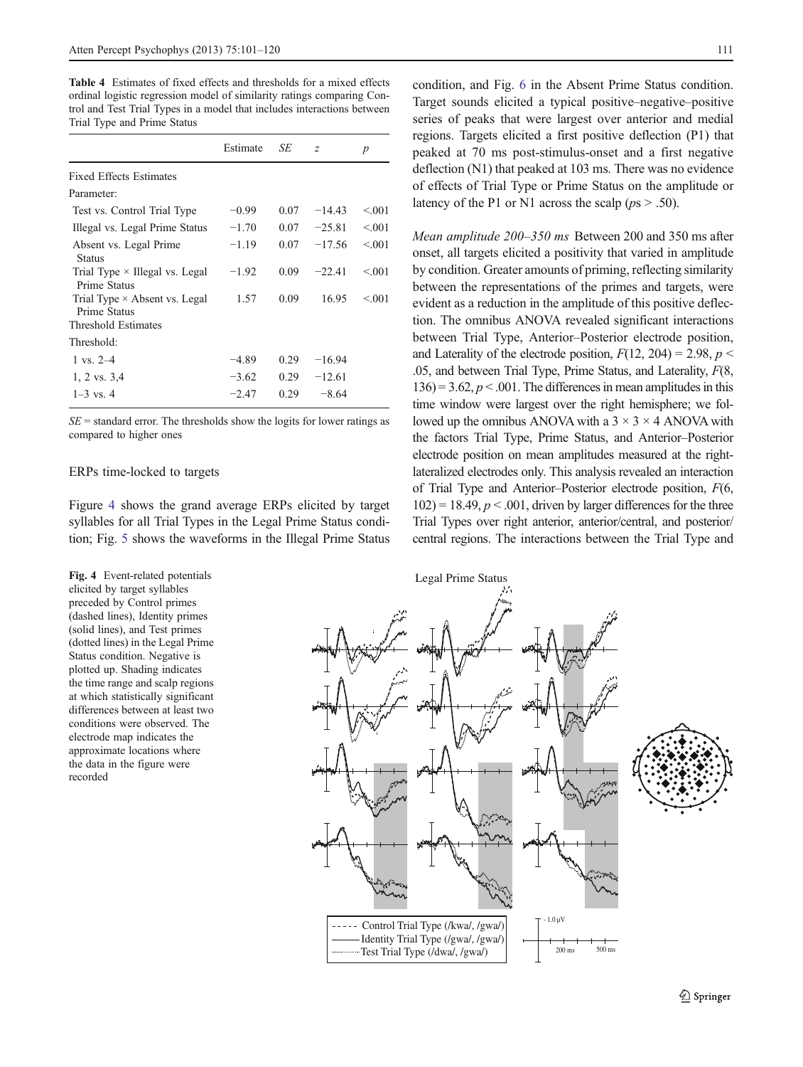<span id="page-10-0"></span>Table 4 Estimates of fixed effects and thresholds for a mixed effects ordinal logistic regression model of similarity ratings comparing Control and Test Trial Types in a model that includes interactions between Trial Type and Prime Status

|                                                       | Estimate | SE   | $\mathcal{Z}_{\mathcal{Z}}$ | $\boldsymbol{p}$ |
|-------------------------------------------------------|----------|------|-----------------------------|------------------|
| <b>Fixed Effects Estimates</b>                        |          |      |                             |                  |
| Parameter:                                            |          |      |                             |                  |
| Test vs. Control Trial Type                           | $-0.99$  | 0.07 | $-14.43$                    | < 0.01           |
| Illegal vs. Legal Prime Status                        | $-1.70$  | 0.07 | $-25.81$                    | < 0.01           |
| Absent vs. Legal Prime<br>Status                      | $-1.19$  | 0.07 | $-17.56$                    | < 0.01           |
| Trial Type $\times$ Illegal vs. Legal<br>Prime Status | $-1.92$  | 0.09 | $-22.41$                    | < 0.01           |
| Trial Type $\times$ Absent vs. Legal<br>Prime Status  | 1.57     | 0.09 | 16.95                       | < 0.01           |
| Threshold Estimates                                   |          |      |                             |                  |
| Threshold:                                            |          |      |                             |                  |
| $1 \text{ vs. } 2 - 4$                                | $-4.89$  | 0.29 | $-16.94$                    |                  |
| 1, 2 vs. 3,4                                          | $-3.62$  | 0.29 | $-12.61$                    |                  |
| $1 - 3$ vs. 4                                         | $-2.47$  | 0.29 | $-8.64$                     |                  |

 $SE =$  standard error. The thresholds show the logits for lower ratings as compared to higher ones

#### ERPs time-locked to targets

Figure 4 shows the grand average ERPs elicited by target syllables for all Trial Types in the Legal Prime Status condition; Fig. [5](#page-11-0) shows the waveforms in the Illegal Prime Status

Fig. 4 Event-related potentials Legal Prime Status elicited by target syllables preceded by Control primes (dashed lines), Identity primes (solid lines), and Test primes (dotted lines) in the Legal Prime Status condition. Negative is plotted up. Shading indicates the time range and scalp regions at which statistically significant differences between at least two conditions were observed. The electrode map indicates the approximate locations where the data in the figure were recorded

condition, and Fig. [6](#page-11-0) in the Absent Prime Status condition. Target sounds elicited a typical positive–negative–positive series of peaks that were largest over anterior and medial regions. Targets elicited a first positive deflection (P1) that peaked at 70 ms post-stimulus-onset and a first negative deflection (N1) that peaked at 103 ms. There was no evidence of effects of Trial Type or Prime Status on the amplitude or latency of the P1 or N1 across the scalp ( $ps > .50$ ).

Mean amplitude 200–350 ms Between 200 and 350 ms after onset, all targets elicited a positivity that varied in amplitude by condition. Greater amounts of priming, reflecting similarity between the representations of the primes and targets, were evident as a reduction in the amplitude of this positive deflection. The omnibus ANOVA revealed significant interactions between Trial Type, Anterior–Posterior electrode position, and Laterality of the electrode position,  $F(12, 204) = 2.98$ ,  $p <$ .05, and between Trial Type, Prime Status, and Laterality, F(8,  $136$  = 3.62,  $p < .001$ . The differences in mean amplitudes in this time window were largest over the right hemisphere; we followed up the omnibus ANOVA with a  $3 \times 3 \times 4$  ANOVA with the factors Trial Type, Prime Status, and Anterior–Posterior electrode position on mean amplitudes measured at the rightlateralized electrodes only. This analysis revealed an interaction of Trial Type and Anterior–Posterior electrode position, F(6,  $102$ ) = 18.49,  $p < .001$ , driven by larger differences for the three Trial Types over right anterior, anterior/central, and posterior/ central regions. The interactions between the Trial Type and

Control Trial Type (/kwa/, /gwa/) Identity Trial Type (/gwa/, /gwa/) Test Trial Type (/dwa/, /gwa/) - 1.0 µV 200 ms 500 ms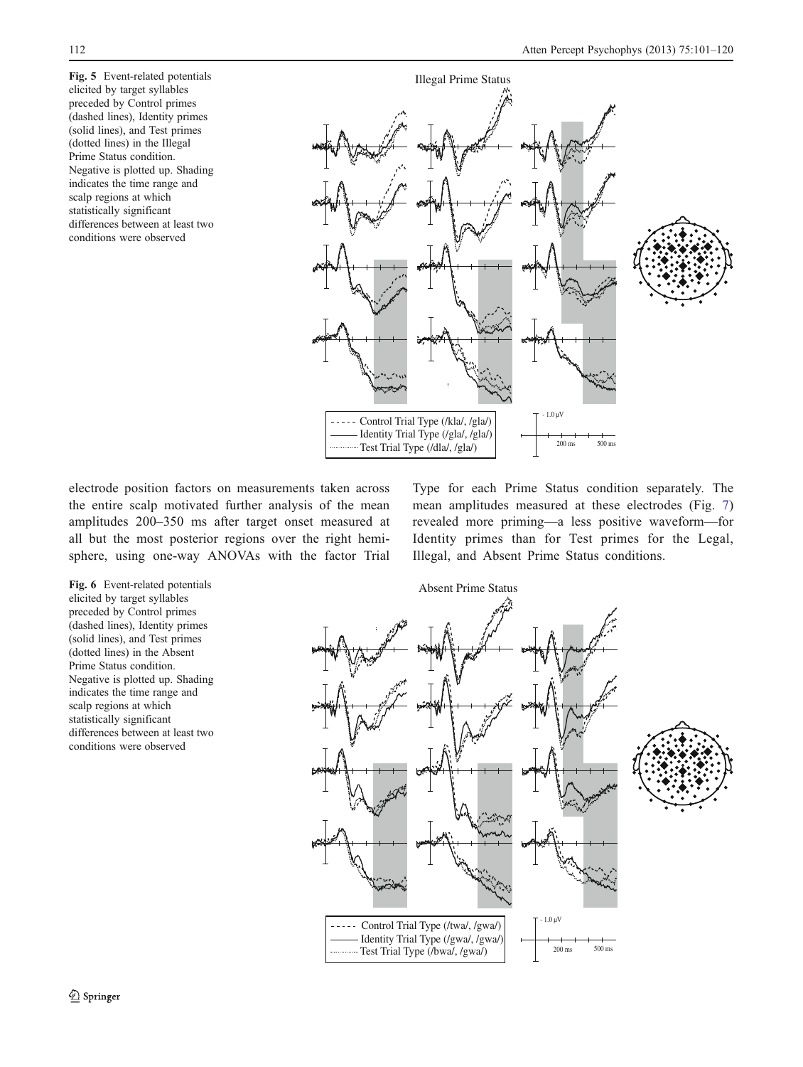elicited by target syllables preceded by Control primes (dashed lines), Identity primes (solid lines), and Test primes (dotted lines) in the Illegal Prime Status condition. Negative is plotted up. Shading indicates the time range and scalp regions at which statistically significant differences between at least two conditions were observed

<span id="page-11-0"></span>

electrode position factors on measurements taken across the entire scalp motivated further analysis of the mean amplitudes 200–350 ms after target onset measured at all but the most posterior regions over the right hemisphere, using one-way ANOVAs with the factor Trial

elicited by target syllables preceded by Control primes (dashed lines), Identity primes (solid lines), and Test primes (dotted lines) in the Absent Prime Status condition. Negative is plotted up. Shading indicates the time range and scalp regions at which statistically significant differences between at least two conditions were observed

Type for each Prime Status condition separately. The mean amplitudes measured at these electrodes (Fig. [7](#page-12-0)) revealed more priming—a less positive waveform—for Identity primes than for Test primes for the Legal, Illegal, and Absent Prime Status conditions.

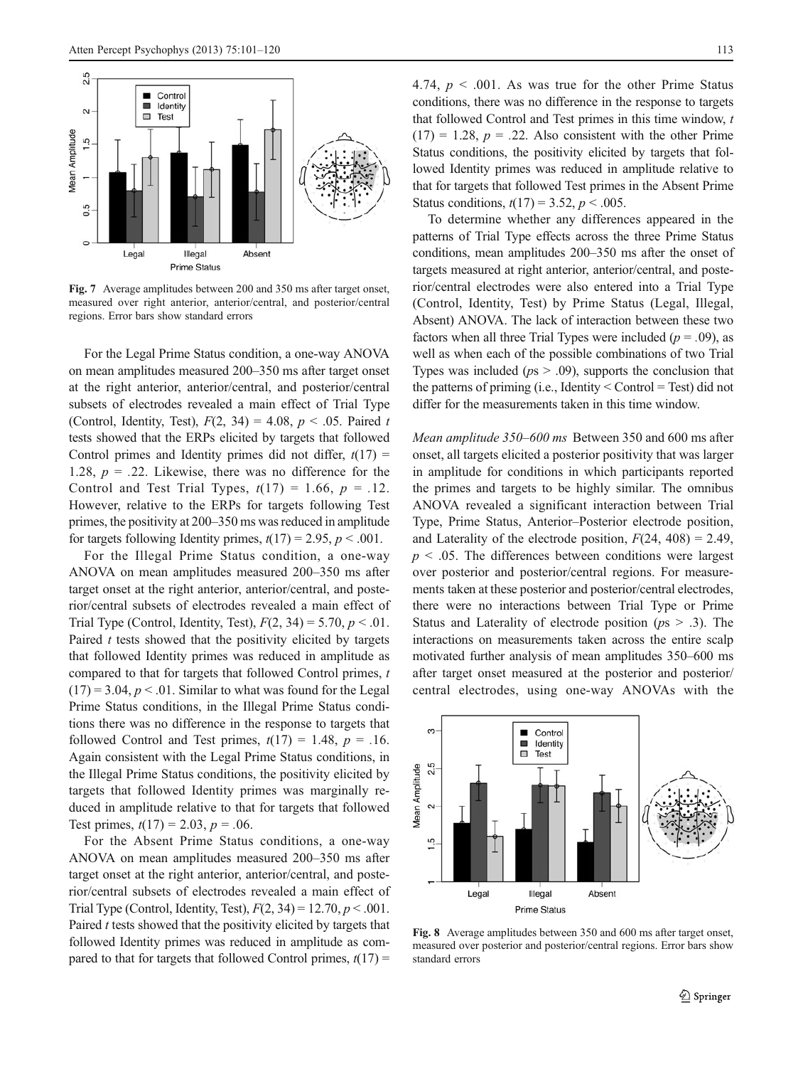<span id="page-12-0"></span>![](_page_12_Figure_1.jpeg)

Fig. 7 Average amplitudes between 200 and 350 ms after target onset, measured over right anterior, anterior/central, and posterior/central regions. Error bars show standard errors

For the Legal Prime Status condition, a one-way ANOVA on mean amplitudes measured 200–350 ms after target onset at the right anterior, anterior/central, and posterior/central subsets of electrodes revealed a main effect of Trial Type (Control, Identity, Test),  $F(2, 34) = 4.08$ ,  $p < .05$ . Paired t tests showed that the ERPs elicited by targets that followed Control primes and Identity primes did not differ,  $t(17) =$ 1.28,  $p = 0.22$ . Likewise, there was no difference for the Control and Test Trial Types,  $t(17) = 1.66$ ,  $p = .12$ . However, relative to the ERPs for targets following Test primes, the positivity at 200–350 ms was reduced in amplitude for targets following Identity primes,  $t(17) = 2.95$ ,  $p < .001$ .

For the Illegal Prime Status condition, a one-way ANOVA on mean amplitudes measured 200–350 ms after target onset at the right anterior, anterior/central, and posterior/central subsets of electrodes revealed a main effect of Trial Type (Control, Identity, Test),  $F(2, 34) = 5.70, p < .01$ . Paired  $t$  tests showed that the positivity elicited by targets that followed Identity primes was reduced in amplitude as compared to that for targets that followed Control primes, t  $(17) = 3.04$ ,  $p < .01$ . Similar to what was found for the Legal Prime Status conditions, in the Illegal Prime Status conditions there was no difference in the response to targets that followed Control and Test primes,  $t(17) = 1.48$ ,  $p = .16$ . Again consistent with the Legal Prime Status conditions, in the Illegal Prime Status conditions, the positivity elicited by targets that followed Identity primes was marginally reduced in amplitude relative to that for targets that followed Test primes,  $t(17) = 2.03$ ,  $p = 0.06$ .

For the Absent Prime Status conditions, a one-way ANOVA on mean amplitudes measured 200–350 ms after target onset at the right anterior, anterior/central, and posterior/central subsets of electrodes revealed a main effect of Trial Type (Control, Identity, Test),  $F(2, 34) = 12.70, p < .001$ . Paired  $t$  tests showed that the positivity elicited by targets that followed Identity primes was reduced in amplitude as compared to that for targets that followed Control primes,  $t(17) =$  4.74,  $p \leq 0.001$ . As was true for the other Prime Status conditions, there was no difference in the response to targets that followed Control and Test primes in this time window, t  $(17) = 1.28$ ,  $p = .22$ . Also consistent with the other Prime Status conditions, the positivity elicited by targets that followed Identity primes was reduced in amplitude relative to that for targets that followed Test primes in the Absent Prime Status conditions,  $t(17) = 3.52$ ,  $p < .005$ .

To determine whether any differences appeared in the patterns of Trial Type effects across the three Prime Status conditions, mean amplitudes 200–350 ms after the onset of targets measured at right anterior, anterior/central, and posterior/central electrodes were also entered into a Trial Type (Control, Identity, Test) by Prime Status (Legal, Illegal, Absent) ANOVA. The lack of interaction between these two factors when all three Trial Types were included ( $p = .09$ ), as well as when each of the possible combinations of two Trial Types was included ( $ps > .09$ ), supports the conclusion that the patterns of priming (i.e., Identity  $\leq$  Control = Test) did not differ for the measurements taken in this time window.

Mean amplitude 350–600 ms Between 350 and 600 ms after onset, all targets elicited a posterior positivity that was larger in amplitude for conditions in which participants reported the primes and targets to be highly similar. The omnibus ANOVA revealed a significant interaction between Trial Type, Prime Status, Anterior–Posterior electrode position, and Laterality of the electrode position,  $F(24, 408) = 2.49$ ,  $p \leq 0.05$ . The differences between conditions were largest over posterior and posterior/central regions. For measurements taken at these posterior and posterior/central electrodes, there were no interactions between Trial Type or Prime Status and Laterality of electrode position ( $ps > .3$ ). The interactions on measurements taken across the entire scalp motivated further analysis of mean amplitudes 350–600 ms after target onset measured at the posterior and posterior/ central electrodes, using one-way ANOVAs with the

![](_page_12_Figure_10.jpeg)

Fig. 8 Average amplitudes between 350 and 600 ms after target onset, measured over posterior and posterior/central regions. Error bars show standard errors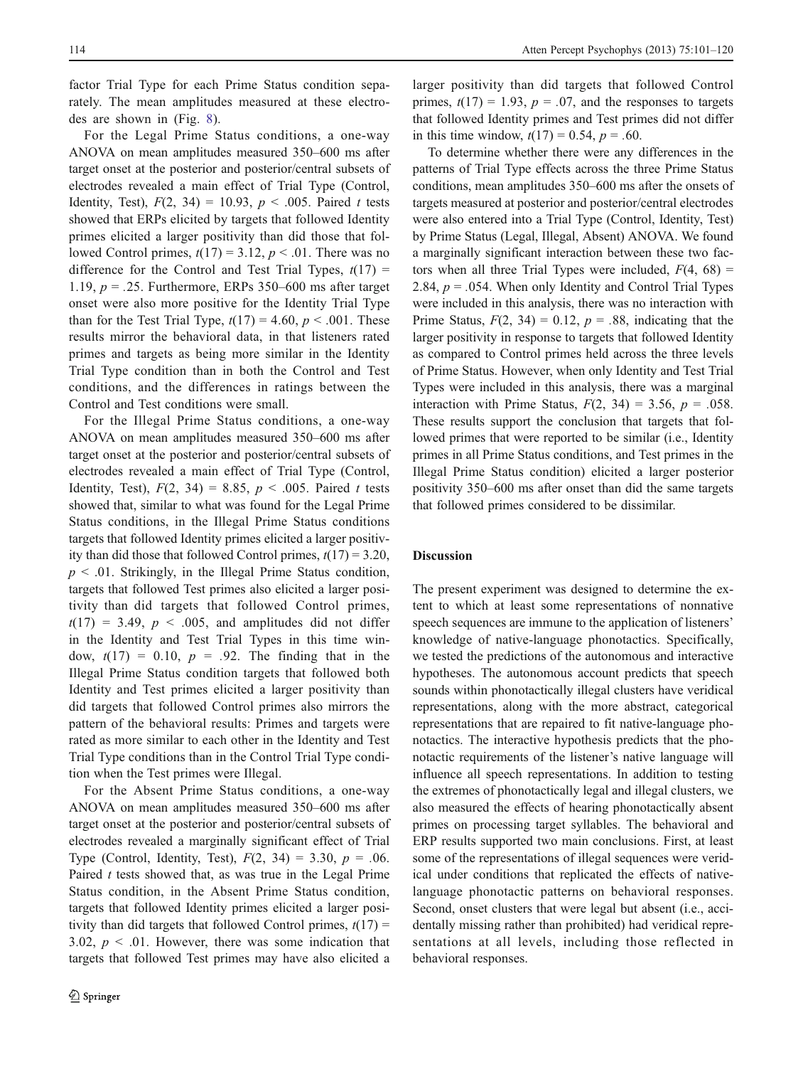factor Trial Type for each Prime Status condition separately. The mean amplitudes measured at these electrodes are shown in (Fig. [8](#page-12-0)).

For the Legal Prime Status conditions, a one-way ANOVA on mean amplitudes measured 350–600 ms after target onset at the posterior and posterior/central subsets of electrodes revealed a main effect of Trial Type (Control, Identity, Test),  $F(2, 34) = 10.93$ ,  $p < .005$ . Paired t tests showed that ERPs elicited by targets that followed Identity primes elicited a larger positivity than did those that followed Control primes,  $t(17) = 3.12$ ,  $p < .01$ . There was no difference for the Control and Test Trial Types,  $t(17) =$ 1.19,  $p = 0.25$ . Furthermore, ERPs 350–600 ms after target onset were also more positive for the Identity Trial Type than for the Test Trial Type,  $t(17) = 4.60$ ,  $p < .001$ . These results mirror the behavioral data, in that listeners rated primes and targets as being more similar in the Identity Trial Type condition than in both the Control and Test conditions, and the differences in ratings between the Control and Test conditions were small.

For the Illegal Prime Status conditions, a one-way ANOVA on mean amplitudes measured 350–600 ms after target onset at the posterior and posterior/central subsets of electrodes revealed a main effect of Trial Type (Control, Identity, Test),  $F(2, 34) = 8.85$ ,  $p < .005$ . Paired t tests showed that, similar to what was found for the Legal Prime Status conditions, in the Illegal Prime Status conditions targets that followed Identity primes elicited a larger positivity than did those that followed Control primes,  $t(17) = 3.20$ ,  $p \leq 0.01$ . Strikingly, in the Illegal Prime Status condition, targets that followed Test primes also elicited a larger positivity than did targets that followed Control primes,  $t(17) = 3.49$ ,  $p < .005$ , and amplitudes did not differ in the Identity and Test Trial Types in this time window,  $t(17) = 0.10$ ,  $p = .92$ . The finding that in the Illegal Prime Status condition targets that followed both Identity and Test primes elicited a larger positivity than did targets that followed Control primes also mirrors the pattern of the behavioral results: Primes and targets were rated as more similar to each other in the Identity and Test Trial Type conditions than in the Control Trial Type condition when the Test primes were Illegal.

For the Absent Prime Status conditions, a one-way ANOVA on mean amplitudes measured 350–600 ms after target onset at the posterior and posterior/central subsets of electrodes revealed a marginally significant effect of Trial Type (Control, Identity, Test),  $F(2, 34) = 3.30, p = .06$ . Paired *t* tests showed that, as was true in the Legal Prime Status condition, in the Absent Prime Status condition, targets that followed Identity primes elicited a larger positivity than did targets that followed Control primes,  $t(17) =$ 3.02,  $p < 0.01$ . However, there was some indication that targets that followed Test primes may have also elicited a

larger positivity than did targets that followed Control primes,  $t(17) = 1.93$ ,  $p = 0.07$ , and the responses to targets that followed Identity primes and Test primes did not differ in this time window,  $t(17) = 0.54$ ,  $p = .60$ .

To determine whether there were any differences in the patterns of Trial Type effects across the three Prime Status conditions, mean amplitudes 350–600 ms after the onsets of targets measured at posterior and posterior/central electrodes were also entered into a Trial Type (Control, Identity, Test) by Prime Status (Legal, Illegal, Absent) ANOVA. We found a marginally significant interaction between these two factors when all three Trial Types were included,  $F(4, 68) =$ 2.84,  $p = 0.054$ . When only Identity and Control Trial Types were included in this analysis, there was no interaction with Prime Status,  $F(2, 34) = 0.12$ ,  $p = .88$ , indicating that the larger positivity in response to targets that followed Identity as compared to Control primes held across the three levels of Prime Status. However, when only Identity and Test Trial Types were included in this analysis, there was a marginal interaction with Prime Status,  $F(2, 34) = 3.56$ ,  $p = .058$ . These results support the conclusion that targets that followed primes that were reported to be similar (i.e., Identity primes in all Prime Status conditions, and Test primes in the Illegal Prime Status condition) elicited a larger posterior positivity 350–600 ms after onset than did the same targets that followed primes considered to be dissimilar.

# Discussion

The present experiment was designed to determine the extent to which at least some representations of nonnative speech sequences are immune to the application of listeners' knowledge of native-language phonotactics. Specifically, we tested the predictions of the autonomous and interactive hypotheses. The autonomous account predicts that speech sounds within phonotactically illegal clusters have veridical representations, along with the more abstract, categorical representations that are repaired to fit native-language phonotactics. The interactive hypothesis predicts that the phonotactic requirements of the listener's native language will influence all speech representations. In addition to testing the extremes of phonotactically legal and illegal clusters, we also measured the effects of hearing phonotactically absent primes on processing target syllables. The behavioral and ERP results supported two main conclusions. First, at least some of the representations of illegal sequences were veridical under conditions that replicated the effects of nativelanguage phonotactic patterns on behavioral responses. Second, onset clusters that were legal but absent (i.e., accidentally missing rather than prohibited) had veridical representations at all levels, including those reflected in behavioral responses.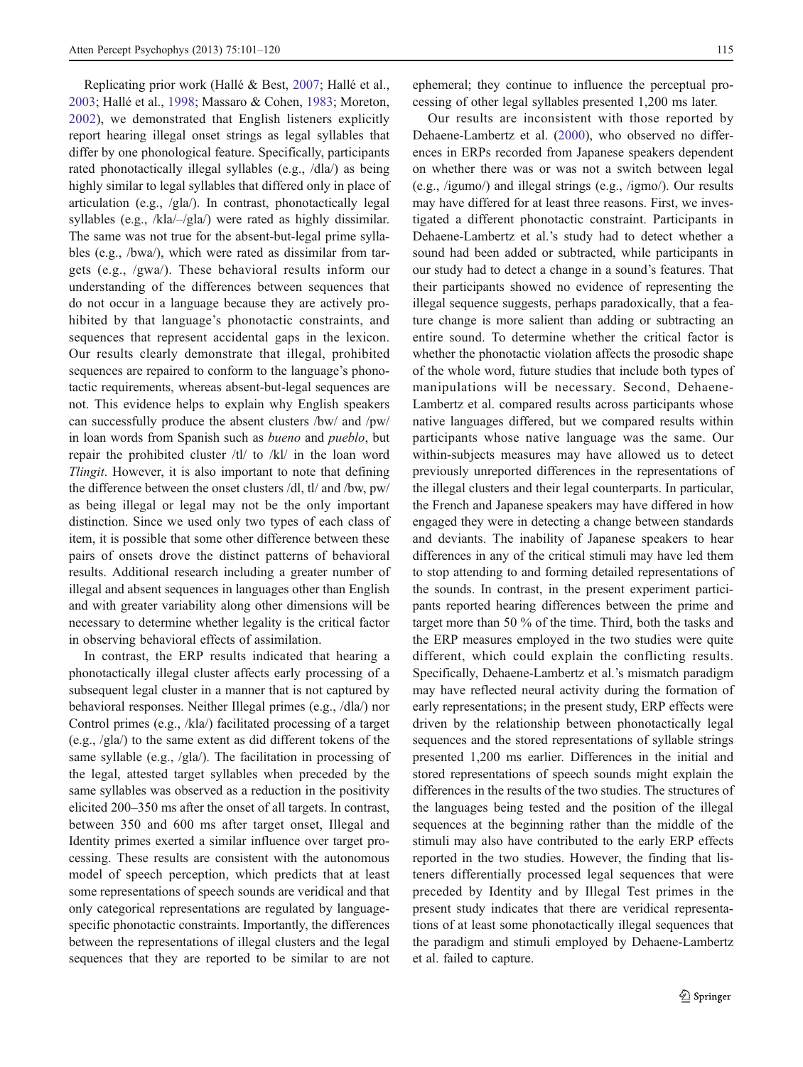Replicating prior work (Hallé & Best, [2007](#page-18-0); Hallé et al., [2003;](#page-18-0) Hallé et al., [1998;](#page-18-0) Massaro & Cohen, [1983](#page-18-0); Moreton, [2002](#page-19-0)), we demonstrated that English listeners explicitly report hearing illegal onset strings as legal syllables that differ by one phonological feature. Specifically, participants rated phonotactically illegal syllables (e.g., /dla/) as being highly similar to legal syllables that differed only in place of articulation (e.g., /gla/). In contrast, phonotactically legal syllables (e.g., /kla/-/gla/) were rated as highly dissimilar. The same was not true for the absent-but-legal prime syllables (e.g., /bwa/), which were rated as dissimilar from targets (e.g., /gwa/). These behavioral results inform our understanding of the differences between sequences that do not occur in a language because they are actively prohibited by that language's phonotactic constraints, and sequences that represent accidental gaps in the lexicon. Our results clearly demonstrate that illegal, prohibited sequences are repaired to conform to the language's phonotactic requirements, whereas absent-but-legal sequences are not. This evidence helps to explain why English speakers can successfully produce the absent clusters /bw/ and /pw/ in loan words from Spanish such as bueno and pueblo, but repair the prohibited cluster /tl/ to /kl/ in the loan word Tlingit. However, it is also important to note that defining the difference between the onset clusters /dl, tl/ and /bw, pw/ as being illegal or legal may not be the only important distinction. Since we used only two types of each class of item, it is possible that some other difference between these pairs of onsets drove the distinct patterns of behavioral results. Additional research including a greater number of illegal and absent sequences in languages other than English and with greater variability along other dimensions will be necessary to determine whether legality is the critical factor in observing behavioral effects of assimilation.

In contrast, the ERP results indicated that hearing a phonotactically illegal cluster affects early processing of a subsequent legal cluster in a manner that is not captured by behavioral responses. Neither Illegal primes (e.g., /dla/) nor Control primes (e.g., /kla/) facilitated processing of a target (e.g., /gla/) to the same extent as did different tokens of the same syllable (e.g., /gla/). The facilitation in processing of the legal, attested target syllables when preceded by the same syllables was observed as a reduction in the positivity elicited 200–350 ms after the onset of all targets. In contrast, between 350 and 600 ms after target onset, Illegal and Identity primes exerted a similar influence over target processing. These results are consistent with the autonomous model of speech perception, which predicts that at least some representations of speech sounds are veridical and that only categorical representations are regulated by languagespecific phonotactic constraints. Importantly, the differences between the representations of illegal clusters and the legal sequences that they are reported to be similar to are not

ephemeral; they continue to influence the perceptual processing of other legal syllables presented 1,200 ms later.

Our results are inconsistent with those reported by Dehaene-Lambertz et al. [\(2000](#page-18-0)), who observed no differences in ERPs recorded from Japanese speakers dependent on whether there was or was not a switch between legal (e.g., /igumo/) and illegal strings (e.g., /igmo/). Our results may have differed for at least three reasons. First, we investigated a different phonotactic constraint. Participants in Dehaene-Lambertz et al.'s study had to detect whether a sound had been added or subtracted, while participants in our study had to detect a change in a sound's features. That their participants showed no evidence of representing the illegal sequence suggests, perhaps paradoxically, that a feature change is more salient than adding or subtracting an entire sound. To determine whether the critical factor is whether the phonotactic violation affects the prosodic shape of the whole word, future studies that include both types of manipulations will be necessary. Second, Dehaene-Lambertz et al. compared results across participants whose native languages differed, but we compared results within participants whose native language was the same. Our within-subjects measures may have allowed us to detect previously unreported differences in the representations of the illegal clusters and their legal counterparts. In particular, the French and Japanese speakers may have differed in how engaged they were in detecting a change between standards and deviants. The inability of Japanese speakers to hear differences in any of the critical stimuli may have led them to stop attending to and forming detailed representations of the sounds. In contrast, in the present experiment participants reported hearing differences between the prime and target more than 50 % of the time. Third, both the tasks and the ERP measures employed in the two studies were quite different, which could explain the conflicting results. Specifically, Dehaene-Lambertz et al.'s mismatch paradigm may have reflected neural activity during the formation of early representations; in the present study, ERP effects were driven by the relationship between phonotactically legal sequences and the stored representations of syllable strings presented 1,200 ms earlier. Differences in the initial and stored representations of speech sounds might explain the differences in the results of the two studies. The structures of the languages being tested and the position of the illegal sequences at the beginning rather than the middle of the stimuli may also have contributed to the early ERP effects reported in the two studies. However, the finding that listeners differentially processed legal sequences that were preceded by Identity and by Illegal Test primes in the present study indicates that there are veridical representations of at least some phonotactically illegal sequences that the paradigm and stimuli employed by Dehaene-Lambertz et al. failed to capture.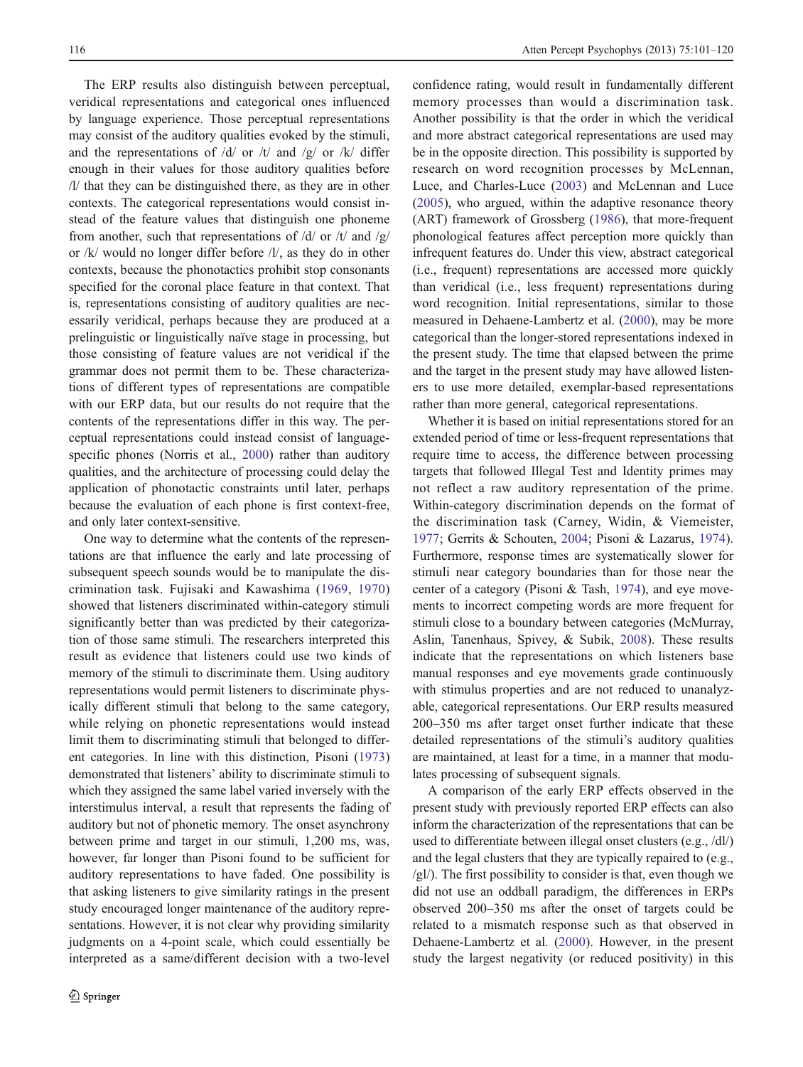The ERP results also distinguish between perceptual, veridical representations and categorical ones influenced by language experience. Those perceptual representations may consist of the auditory qualities evoked by the stimuli, and the representations of  $\frac{d}{dx}$  or  $\frac{d}{dx}$  and  $\frac{g}{g}$  or  $\frac{g}{dx}$  differ enough in their values for those auditory qualities before /l/ that they can be distinguished there, as they are in other contexts. The categorical representations would consist instead of the feature values that distinguish one phoneme from another, such that representations of  $\frac{d}{dx}$  or  $\frac{dt}{dt}$  and  $\frac{lg}{dt}$ or /k/ would no longer differ before /l/, as they do in other contexts, because the phonotactics prohibit stop consonants specified for the coronal place feature in that context. That is, representations consisting of auditory qualities are necessarily veridical, perhaps because they are produced at a prelinguistic or linguistically naïve stage in processing, but those consisting of feature values are not veridical if the grammar does not permit them to be. These characterizations of different types of representations are compatible with our ERP data, but our results do not require that the contents of the representations differ in this way. The perceptual representations could instead consist of languagespecific phones (Norris et al., [2000\)](#page-19-0) rather than auditory qualities, and the architecture of processing could delay the application of phonotactic constraints until later, perhaps because the evaluation of each phone is first context-free, and only later context-sensitive.

One way to determine what the contents of the representations are that influence the early and late processing of subsequent speech sounds would be to manipulate the discrimination task. Fujisaki and Kawashima ([1969](#page-18-0), [1970\)](#page-18-0) showed that listeners discriminated within-category stimuli significantly better than was predicted by their categorization of those same stimuli. The researchers interpreted this result as evidence that listeners could use two kinds of memory of the stimuli to discriminate them. Using auditory representations would permit listeners to discriminate physically different stimuli that belong to the same category, while relying on phonetic representations would instead limit them to discriminating stimuli that belonged to different categories. In line with this distinction, Pisoni ([1973\)](#page-19-0) demonstrated that listeners' ability to discriminate stimuli to which they assigned the same label varied inversely with the interstimulus interval, a result that represents the fading of auditory but not of phonetic memory. The onset asynchrony between prime and target in our stimuli, 1,200 ms, was, however, far longer than Pisoni found to be sufficient for auditory representations to have faded. One possibility is that asking listeners to give similarity ratings in the present study encouraged longer maintenance of the auditory representations. However, it is not clear why providing similarity judgments on a 4-point scale, which could essentially be interpreted as a same/different decision with a two-level

confidence rating, would result in fundamentally different memory processes than would a discrimination task. Another possibility is that the order in which the veridical and more abstract categorical representations are used may be in the opposite direction. This possibility is supported by research on word recognition processes by McLennan, Luce, and Charles-Luce [\(2003](#page-19-0)) and McLennan and Luce [\(2005](#page-19-0)), who argued, within the adaptive resonance theory (ART) framework of Grossberg ([1986\)](#page-18-0), that more-frequent phonological features affect perception more quickly than infrequent features do. Under this view, abstract categorical (i.e., frequent) representations are accessed more quickly than veridical (i.e., less frequent) representations during word recognition. Initial representations, similar to those measured in Dehaene-Lambertz et al. ([2000\)](#page-18-0), may be more categorical than the longer-stored representations indexed in the present study. The time that elapsed between the prime and the target in the present study may have allowed listeners to use more detailed, exemplar-based representations rather than more general, categorical representations.

Whether it is based on initial representations stored for an extended period of time or less-frequent representations that require time to access, the difference between processing targets that followed Illegal Test and Identity primes may not reflect a raw auditory representation of the prime. Within-category discrimination depends on the format of the discrimination task (Carney, Widin, & Viemeister, [1977](#page-18-0); Gerrits & Schouten, [2004](#page-18-0); Pisoni & Lazarus, [1974\)](#page-19-0). Furthermore, response times are systematically slower for stimuli near category boundaries than for those near the center of a category (Pisoni & Tash, [1974\)](#page-19-0), and eye movements to incorrect competing words are more frequent for stimuli close to a boundary between categories (McMurray, Aslin, Tanenhaus, Spivey, & Subik, [2008](#page-19-0)). These results indicate that the representations on which listeners base manual responses and eye movements grade continuously with stimulus properties and are not reduced to unanalyzable, categorical representations. Our ERP results measured 200–350 ms after target onset further indicate that these detailed representations of the stimuli's auditory qualities are maintained, at least for a time, in a manner that modulates processing of subsequent signals.

A comparison of the early ERP effects observed in the present study with previously reported ERP effects can also inform the characterization of the representations that can be used to differentiate between illegal onset clusters (e.g., /dl/) and the legal clusters that they are typically repaired to (e.g., /gl/). The first possibility to consider is that, even though we did not use an oddball paradigm, the differences in ERPs observed 200–350 ms after the onset of targets could be related to a mismatch response such as that observed in Dehaene-Lambertz et al. ([2000\)](#page-18-0). However, in the present study the largest negativity (or reduced positivity) in this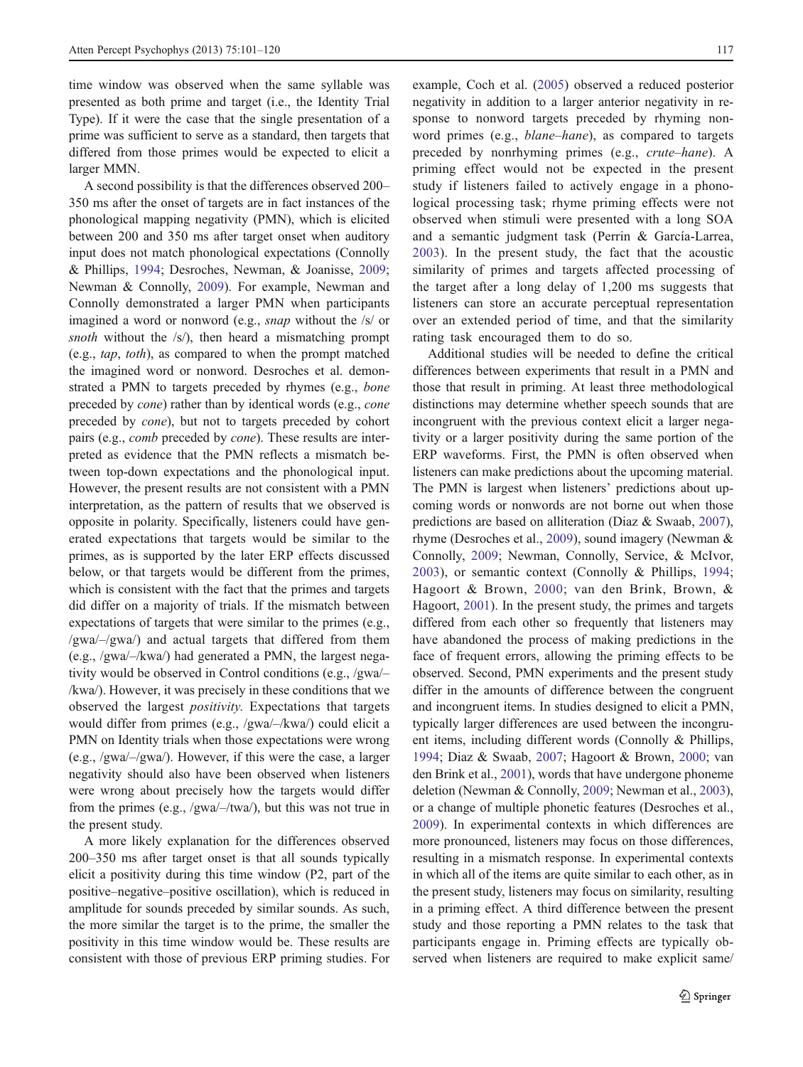time window was observed when the same syllable was presented as both prime and target (i.e., the Identity Trial Type). If it were the case that the single presentation of a prime was sufficient to serve as a standard, then targets that differed from those primes would be expected to elicit a larger MMN.

A second possibility is that the differences observed 200– 350 ms after the onset of targets are in fact instances of the phonological mapping negativity (PMN), which is elicited between 200 and 350 ms after target onset when auditory input does not match phonological expectations (Connolly & Phillips, [1994](#page-18-0); Desroches, Newman, & Joanisse, [2009](#page-18-0); Newman & Connolly, [2009](#page-19-0)). For example, Newman and Connolly demonstrated a larger PMN when participants imagined a word or nonword (e.g., snap without the /s/ or snoth without the  $\langle s \rangle$ , then heard a mismatching prompt (e.g., tap, toth), as compared to when the prompt matched the imagined word or nonword. Desroches et al. demonstrated a PMN to targets preceded by rhymes (e.g., bone preceded by cone) rather than by identical words (e.g., cone preceded by cone), but not to targets preceded by cohort pairs (e.g., comb preceded by cone). These results are interpreted as evidence that the PMN reflects a mismatch between top-down expectations and the phonological input. However, the present results are not consistent with a PMN interpretation, as the pattern of results that we observed is opposite in polarity. Specifically, listeners could have generated expectations that targets would be similar to the primes, as is supported by the later ERP effects discussed below, or that targets would be different from the primes, which is consistent with the fact that the primes and targets did differ on a majority of trials. If the mismatch between expectations of targets that were similar to the primes (e.g., /gwa/–/gwa/) and actual targets that differed from them (e.g., /gwa/–/kwa/) had generated a PMN, the largest negativity would be observed in Control conditions (e.g., /gwa/– /kwa/). However, it was precisely in these conditions that we observed the largest positivity. Expectations that targets would differ from primes (e.g., /gwa/–/kwa/) could elicit a PMN on Identity trials when those expectations were wrong (e.g., /gwa/–/gwa/). However, if this were the case, a larger negativity should also have been observed when listeners were wrong about precisely how the targets would differ from the primes (e.g., /gwa/–/twa/), but this was not true in the present study.

A more likely explanation for the differences observed 200–350 ms after target onset is that all sounds typically elicit a positivity during this time window (P2, part of the positive–negative–positive oscillation), which is reduced in amplitude for sounds preceded by similar sounds. As such, the more similar the target is to the prime, the smaller the positivity in this time window would be. These results are consistent with those of previous ERP priming studies. For example, Coch et al. ([2005\)](#page-18-0) observed a reduced posterior negativity in addition to a larger anterior negativity in response to nonword targets preceded by rhyming nonword primes (e.g., blane–hane), as compared to targets preceded by nonrhyming primes (e.g., crute–hane). A priming effect would not be expected in the present study if listeners failed to actively engage in a phonological processing task; rhyme priming effects were not observed when stimuli were presented with a long SOA and a semantic judgment task (Perrin & García-Larrea, [2003](#page-19-0)). In the present study, the fact that the acoustic similarity of primes and targets affected processing of the target after a long delay of 1,200 ms suggests that listeners can store an accurate perceptual representation over an extended period of time, and that the similarity rating task encouraged them to do so.

Additional studies will be needed to define the critical differences between experiments that result in a PMN and those that result in priming. At least three methodological distinctions may determine whether speech sounds that are incongruent with the previous context elicit a larger negativity or a larger positivity during the same portion of the ERP waveforms. First, the PMN is often observed when listeners can make predictions about the upcoming material. The PMN is largest when listeners' predictions about upcoming words or nonwords are not borne out when those predictions are based on alliteration (Diaz & Swaab, [2007\)](#page-18-0), rhyme (Desroches et al., [2009](#page-18-0)), sound imagery (Newman & Connolly, [2009;](#page-19-0) Newman, Connolly, Service, & McIvor, [2003](#page-19-0)), or semantic context (Connolly & Phillips, [1994;](#page-18-0) Hagoort & Brown, [2000](#page-18-0); van den Brink, Brown, & Hagoort, [2001\)](#page-19-0). In the present study, the primes and targets differed from each other so frequently that listeners may have abandoned the process of making predictions in the face of frequent errors, allowing the priming effects to be observed. Second, PMN experiments and the present study differ in the amounts of difference between the congruent and incongruent items. In studies designed to elicit a PMN, typically larger differences are used between the incongruent items, including different words (Connolly & Phillips, [1994](#page-18-0); Diaz & Swaab, [2007;](#page-18-0) Hagoort & Brown, [2000;](#page-18-0) van den Brink et al., [2001](#page-19-0)), words that have undergone phoneme deletion (Newman & Connolly, [2009](#page-19-0); Newman et al., [2003\)](#page-19-0), or a change of multiple phonetic features (Desroches et al., [2009](#page-18-0)). In experimental contexts in which differences are more pronounced, listeners may focus on those differences, resulting in a mismatch response. In experimental contexts in which all of the items are quite similar to each other, as in the present study, listeners may focus on similarity, resulting in a priming effect. A third difference between the present study and those reporting a PMN relates to the task that participants engage in. Priming effects are typically observed when listeners are required to make explicit same/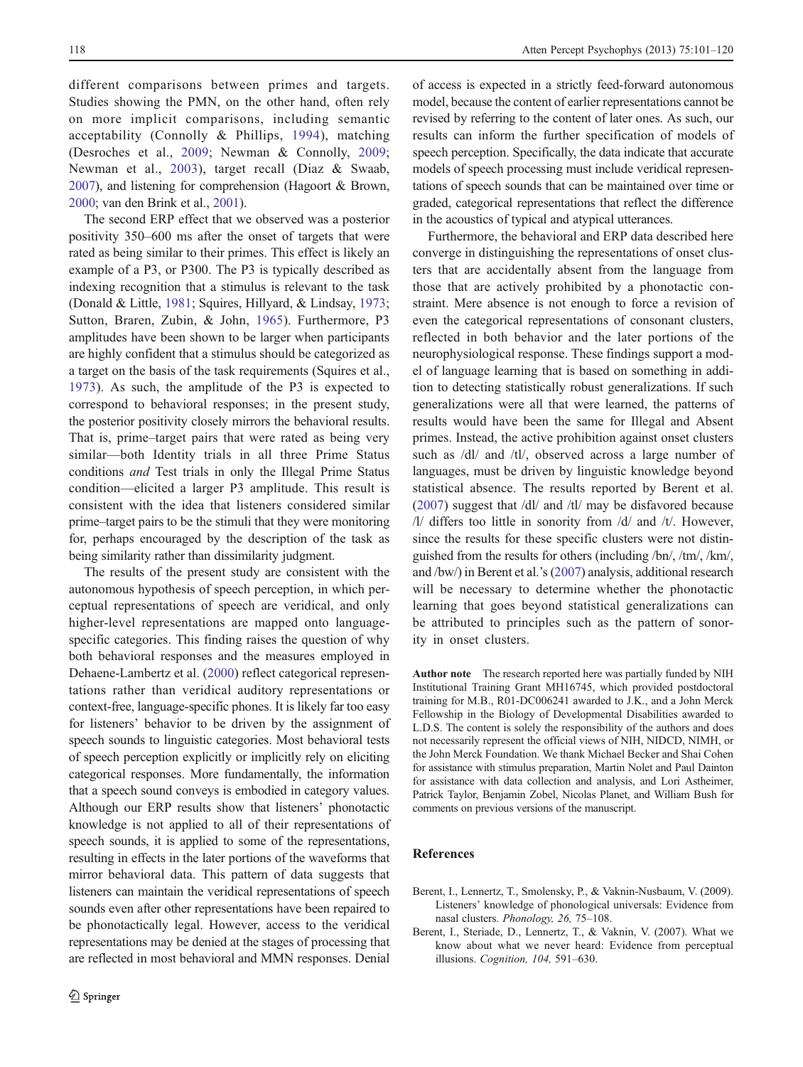<span id="page-17-0"></span>different comparisons between primes and targets. Studies showing the PMN, on the other hand, often rely on more implicit comparisons, including semantic acceptability (Connolly & Phillips, [1994\)](#page-18-0), matching (Desroches et al., [2009;](#page-18-0) Newman & Connolly, [2009](#page-19-0); Newman et al., [2003](#page-19-0)), target recall (Diaz & Swaab, [2007\)](#page-18-0), and listening for comprehension (Hagoort & Brown, [2000;](#page-18-0) van den Brink et al., [2001\)](#page-19-0).

The second ERP effect that we observed was a posterior positivity 350–600 ms after the onset of targets that were rated as being similar to their primes. This effect is likely an example of a P3, or P300. The P3 is typically described as indexing recognition that a stimulus is relevant to the task (Donald & Little, [1981](#page-18-0); Squires, Hillyard, & Lindsay, [1973](#page-19-0); Sutton, Braren, Zubin, & John, [1965](#page-19-0)). Furthermore, P3 amplitudes have been shown to be larger when participants are highly confident that a stimulus should be categorized as a target on the basis of the task requirements (Squires et al., [1973](#page-19-0)). As such, the amplitude of the P3 is expected to correspond to behavioral responses; in the present study, the posterior positivity closely mirrors the behavioral results. That is, prime–target pairs that were rated as being very similar—both Identity trials in all three Prime Status conditions and Test trials in only the Illegal Prime Status condition—elicited a larger P3 amplitude. This result is consistent with the idea that listeners considered similar prime–target pairs to be the stimuli that they were monitoring for, perhaps encouraged by the description of the task as being similarity rather than dissimilarity judgment.

The results of the present study are consistent with the autonomous hypothesis of speech perception, in which perceptual representations of speech are veridical, and only higher-level representations are mapped onto languagespecific categories. This finding raises the question of why both behavioral responses and the measures employed in Dehaene-Lambertz et al. ([2000\)](#page-18-0) reflect categorical representations rather than veridical auditory representations or context-free, language-specific phones. It is likely far too easy for listeners' behavior to be driven by the assignment of speech sounds to linguistic categories. Most behavioral tests of speech perception explicitly or implicitly rely on eliciting categorical responses. More fundamentally, the information that a speech sound conveys is embodied in category values. Although our ERP results show that listeners' phonotactic knowledge is not applied to all of their representations of speech sounds, it is applied to some of the representations, resulting in effects in the later portions of the waveforms that mirror behavioral data. This pattern of data suggests that listeners can maintain the veridical representations of speech sounds even after other representations have been repaired to be phonotactically legal. However, access to the veridical representations may be denied at the stages of processing that are reflected in most behavioral and MMN responses. Denial

of access is expected in a strictly feed-forward autonomous model, because the content of earlier representations cannot be revised by referring to the content of later ones. As such, our results can inform the further specification of models of speech perception. Specifically, the data indicate that accurate models of speech processing must include veridical representations of speech sounds that can be maintained over time or graded, categorical representations that reflect the difference in the acoustics of typical and atypical utterances.

Furthermore, the behavioral and ERP data described here converge in distinguishing the representations of onset clusters that are accidentally absent from the language from those that are actively prohibited by a phonotactic constraint. Mere absence is not enough to force a revision of even the categorical representations of consonant clusters, reflected in both behavior and the later portions of the neurophysiological response. These findings support a model of language learning that is based on something in addition to detecting statistically robust generalizations. If such generalizations were all that were learned, the patterns of results would have been the same for Illegal and Absent primes. Instead, the active prohibition against onset clusters such as /dl/ and /tl/, observed across a large number of languages, must be driven by linguistic knowledge beyond statistical absence. The results reported by Berent et al. (2007) suggest that /dl/ and /tl/ may be disfavored because /l/ differs too little in sonority from /d/ and /t/. However, since the results for these specific clusters were not distinguished from the results for others (including /bn/, /tm/, /km/, and /bw/) in Berent et al.'s (2007) analysis, additional research will be necessary to determine whether the phonotactic learning that goes beyond statistical generalizations can be attributed to principles such as the pattern of sonority in onset clusters.

Author note The research reported here was partially funded by NIH Institutional Training Grant MH16745, which provided postdoctoral training for M.B., R01-DC006241 awarded to J.K., and a John Merck Fellowship in the Biology of Developmental Disabilities awarded to L.D.S. The content is solely the responsibility of the authors and does not necessarily represent the official views of NIH, NIDCD, NIMH, or the John Merck Foundation. We thank Michael Becker and Shai Cohen for assistance with stimulus preparation, Martin Nolet and Paul Dainton for assistance with data collection and analysis, and Lori Astheimer, Patrick Taylor, Benjamin Zobel, Nicolas Planet, and William Bush for comments on previous versions of the manuscript.

# References

- Berent, I., Lennertz, T., Smolensky, P., & Vaknin-Nusbaum, V. (2009). Listeners' knowledge of phonological universals: Evidence from nasal clusters. Phonology, 26, 75–108.
- Berent, I., Steriade, D., Lennertz, T., & Vaknin, V. (2007). What we know about what we never heard: Evidence from perceptual illusions. Cognition, 104, 591–630.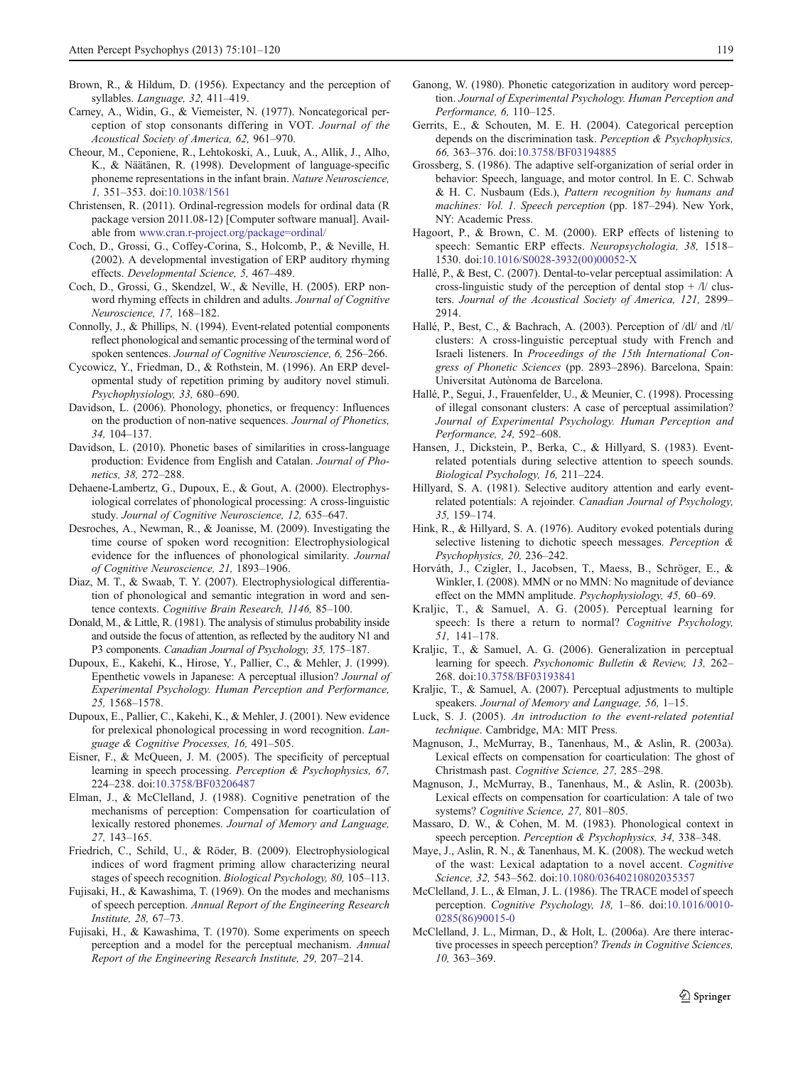- <span id="page-18-0"></span>Brown, R., & Hildum, D. (1956). Expectancy and the perception of syllables. Language, 32, 411–419.
- Carney, A., Widin, G., & Viemeister, N. (1977). Noncategorical perception of stop consonants differing in VOT. Journal of the Acoustical Society of America, 62, 961–970.
- Cheour, M., Ceponiene, R., Lehtokoski, A., Luuk, A., Allik, J., Alho, K., & Näätänen, R. (1998). Development of language-specific phoneme representations in the infant brain. Nature Neuroscience, 1, 351–353. doi[:10.1038/1561](http://dx.doi.org/10.1038/1561)
- Christensen, R. (2011). Ordinal-regression models for ordinal data (R package version 2011.08-12) [Computer software manual]. Available from [www.cran.r-project.org/package](http://www.cran.r-project.org/package=ordinal/)=[ordinal/](http://www.cran.r-project.org/package=ordinal/)
- Coch, D., Grossi, G., Coffey-Corina, S., Holcomb, P., & Neville, H. (2002). A developmental investigation of ERP auditory rhyming effects. Developmental Science, 5, 467–489.
- Coch, D., Grossi, G., Skendzel, W., & Neville, H. (2005). ERP nonword rhyming effects in children and adults. Journal of Cognitive Neuroscience, 17, 168–182.
- Connolly, J., & Phillips, N. (1994). Event-related potential components reflect phonological and semantic processing of the terminal word of spoken sentences. Journal of Cognitive Neuroscience, 6, 256–266.
- Cycowicz, Y., Friedman, D., & Rothstein, M. (1996). An ERP developmental study of repetition priming by auditory novel stimuli. Psychophysiology, 33, 680–690.
- Davidson, L. (2006). Phonology, phonetics, or frequency: Influences on the production of non-native sequences. Journal of Phonetics, 34, 104–137.
- Davidson, L. (2010). Phonetic bases of similarities in cross-language production: Evidence from English and Catalan. Journal of Phonetics, 38, 272–288.
- Dehaene-Lambertz, G., Dupoux, E., & Gout, A. (2000). Electrophysiological correlates of phonological processing: A cross-linguistic study. Journal of Cognitive Neuroscience, 12, 635–647.
- Desroches, A., Newman, R., & Joanisse, M. (2009). Investigating the time course of spoken word recognition: Electrophysiological evidence for the influences of phonological similarity. Journal of Cognitive Neuroscience, 21, 1893–1906.
- Diaz, M. T., & Swaab, T. Y. (2007). Electrophysiological differentiation of phonological and semantic integration in word and sentence contexts. Cognitive Brain Research, 1146, 85–100.
- Donald, M., & Little, R. (1981). The analysis of stimulus probability inside and outside the focus of attention, as reflected by the auditory N1 and P3 components. Canadian Journal of Psychology, 35, 175–187.
- Dupoux, E., Kakehi, K., Hirose, Y., Pallier, C., & Mehler, J. (1999). Epenthetic vowels in Japanese: A perceptual illusion? Journal of Experimental Psychology. Human Perception and Performance, 25, 1568–1578.
- Dupoux, E., Pallier, C., Kakehi, K., & Mehler, J. (2001). New evidence for prelexical phonological processing in word recognition. Language & Cognitive Processes, 16, 491–505.
- Eisner, F., & McQueen, J. M. (2005). The specificity of perceptual learning in speech processing. Perception & Psychophysics, 67, 224–238. doi[:10.3758/BF03206487](http://dx.doi.org/10.3758/BF03206487)
- Elman, J., & McClelland, J. (1988). Cognitive penetration of the mechanisms of perception: Compensation for coarticulation of lexically restored phonemes. Journal of Memory and Language, 27, 143–165.
- Friedrich, C., Schild, U., & Röder, B. (2009). Electrophysiological indices of word fragment priming allow characterizing neural stages of speech recognition. Biological Psychology, 80, 105–113.
- Fujisaki, H., & Kawashima, T. (1969). On the modes and mechanisms of speech perception. Annual Report of the Engineering Research Institute, 28, 67–73.
- Fujisaki, H., & Kawashima, T. (1970). Some experiments on speech perception and a model for the perceptual mechanism. Annual Report of the Engineering Research Institute, 29, 207–214.
- Ganong, W. (1980). Phonetic categorization in auditory word perception. Journal of Experimental Psychology. Human Perception and Performance, 6, 110–125.
- Gerrits, E., & Schouten, M. E. H. (2004). Categorical perception depends on the discrimination task. Perception & Psychophysics, 66, 363–376. doi:[10.3758/BF03194885](http://dx.doi.org/10.3758/BF03194885)
- Grossberg, S. (1986). The adaptive self-organization of serial order in behavior: Speech, language, and motor control. In E. C. Schwab & H. C. Nusbaum (Eds.), Pattern recognition by humans and machines: Vol. 1. Speech perception (pp. 187–294). New York, NY: Academic Press.
- Hagoort, P., & Brown, C. M. (2000). ERP effects of listening to speech: Semantic ERP effects. Neuropsychologia, 38, 1518– 1530. doi:[10.1016/S0028-3932\(00\)00052-X](http://dx.doi.org/10.1016/S0028-3932(00)00052-X)
- Hallé, P., & Best, C. (2007). Dental-to-velar perceptual assimilation: A cross-linguistic study of the perception of dental stop  $+$  /l/ clusters. Journal of the Acoustical Society of America, 121, 2899– 2914.
- Hallé, P., Best, C., & Bachrach, A. (2003). Perception of /dl/ and /tl/ clusters: A cross-linguistic perceptual study with French and Israeli listeners. In Proceedings of the 15th International Congress of Phonetic Sciences (pp. 2893–2896). Barcelona, Spain: Universitat Autònoma de Barcelona.
- Hallé, P., Segui, J., Frauenfelder, U., & Meunier, C. (1998). Processing of illegal consonant clusters: A case of perceptual assimilation? Journal of Experimental Psychology. Human Perception and Performance, 24, 592–608.
- Hansen, J., Dickstein, P., Berka, C., & Hillyard, S. (1983). Eventrelated potentials during selective attention to speech sounds. Biological Psychology, 16, 211–224.
- Hillyard, S. A. (1981). Selective auditory attention and early eventrelated potentials: A rejoinder. Canadian Journal of Psychology, 35, 159–174.
- Hink, R., & Hillyard, S. A. (1976). Auditory evoked potentials during selective listening to dichotic speech messages. Perception & Psychophysics, 20, 236–242.
- Horváth, J., Czigler, I., Jacobsen, T., Maess, B., Schröger, E., & Winkler, I. (2008). MMN or no MMN: No magnitude of deviance effect on the MMN amplitude. Psychophysiology, 45, 60–69.
- Kraljic, T., & Samuel, A. G. (2005). Perceptual learning for speech: Is there a return to normal? Cognitive Psychology, 51, 141–178.
- Kraljic, T., & Samuel, A. G. (2006). Generalization in perceptual learning for speech. Psychonomic Bulletin & Review, 13, 262– 268. doi[:10.3758/BF03193841](http://dx.doi.org/10.3758/BF03193841)
- Kraljic, T., & Samuel, A. (2007). Perceptual adjustments to multiple speakers. Journal of Memory and Language, 56, 1–15.
- Luck, S. J. (2005). An introduction to the event-related potential technique. Cambridge, MA: MIT Press.
- Magnuson, J., McMurray, B., Tanenhaus, M., & Aslin, R. (2003a). Lexical effects on compensation for coarticulation: The ghost of Christmash past. Cognitive Science, 27, 285–298.
- Magnuson, J., McMurray, B., Tanenhaus, M., & Aslin, R. (2003b). Lexical effects on compensation for coarticulation: A tale of two systems? Cognitive Science, 27, 801–805.
- Massaro, D. W., & Cohen, M. M. (1983). Phonological context in speech perception. Perception & Psychophysics, 34, 338-348.
- Maye, J., Aslin, R. N., & Tanenhaus, M. K. (2008). The weckud wetch of the wast: Lexical adaptation to a novel accent. Cognitive Science, 32, 543–562. doi:[10.1080/03640210802035357](http://dx.doi.org/10.1080/03640210802035357)
- McClelland, J. L., & Elman, J. L. (1986). The TRACE model of speech perception. Cognitive Psychology, 18, 1–86. doi:[10.1016/0010-](http://dx.doi.org/10.1016/0010-0285(86)90015-0) [0285\(86\)90015-0](http://dx.doi.org/10.1016/0010-0285(86)90015-0)
- McClelland, J. L., Mirman, D., & Holt, L. (2006a). Are there interactive processes in speech perception? Trends in Cognitive Sciences, 10, 363–369.